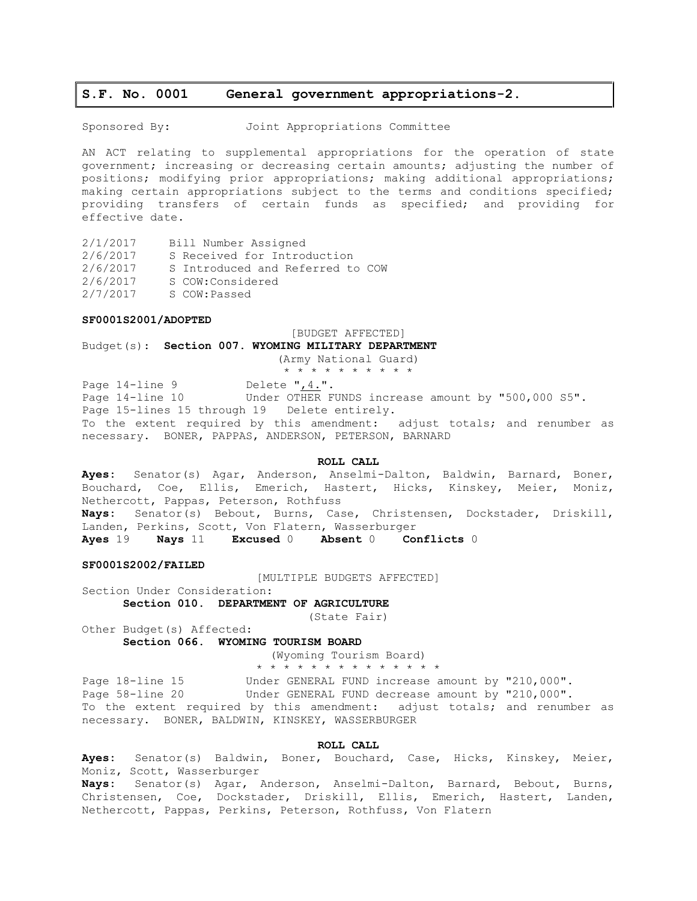## **S.F. No. 0001 General government appropriations-2.**

Sponsored By: Joint Appropriations Committee

AN ACT relating to supplemental appropriations for the operation of state government; increasing or decreasing certain amounts; adjusting the number of positions; modifying prior appropriations; making additional appropriations; making certain appropriations subject to the terms and conditions specified; providing transfers of certain funds as specified; and providing for effective date.

2/1/2017 Bill Number Assigned

2/6/2017 S Received for Introduction 2/6/2017 S Introduced and Referred to COW

2/6/2017 S COW:Considered

2/7/2017 S COW:Passed

#### **SF0001S2001/ADOPTED**

#### [BUDGET AFFECTED]

Budget(s): **Section 007. WYOMING MILITARY DEPARTMENT**

(Army National Guard)

\* \* \* \* \* \* \* \* \* \*

Page 14-line 9 Delete ", 4.".

Page 14-line 10 Under OTHER FUNDS increase amount by "500,000 S5". Page 15-lines 15 through 19 Delete entirely. To the extent required by this amendment: adjust totals; and renumber as necessary. BONER, PAPPAS, ANDERSON, PETERSON, BARNARD

## **ROLL CALL**

**Ayes:** Senator(s) Agar, Anderson, Anselmi-Dalton, Baldwin, Barnard, Boner, Bouchard, Coe, Ellis, Emerich, Hastert, Hicks, Kinskey, Meier, Moniz, Nethercott, Pappas, Peterson, Rothfuss **Nays:** Senator(s) Bebout, Burns, Case, Christensen, Dockstader, Driskill, Landen, Perkins, Scott, Von Flatern, Wasserburger **Ayes** 19 **Nays** 11 **Excused** 0 **Absent** 0 **Conflicts** 0

## **SF0001S2002/FAILED**

[MULTIPLE BUDGETS AFFECTED]

Section Under Consideration:

**Section 010. DEPARTMENT OF AGRICULTURE**

(State Fair)

Other Budget(s) Affected:

## **Section 066. WYOMING TOURISM BOARD**

(Wyoming Tourism Board) \* \* \* \* \* \* \* \* \* \* \* \* \* \*

Page 18-line 15 Under GENERAL FUND increase amount by "210,000". Page 58-line 20 Under GENERAL FUND decrease amount by "210,000". To the extent required by this amendment: adjust totals; and renumber as necessary. BONER, BALDWIN, KINSKEY, WASSERBURGER

## **ROLL CALL**

**Ayes:** Senator(s) Baldwin, Boner, Bouchard, Case, Hicks, Kinskey, Meier, Moniz, Scott, Wasserburger **Nays:** Senator(s) Agar, Anderson, Anselmi-Dalton, Barnard, Bebout, Burns, Christensen, Coe, Dockstader, Driskill, Ellis, Emerich, Hastert, Landen, Nethercott, Pappas, Perkins, Peterson, Rothfuss, Von Flatern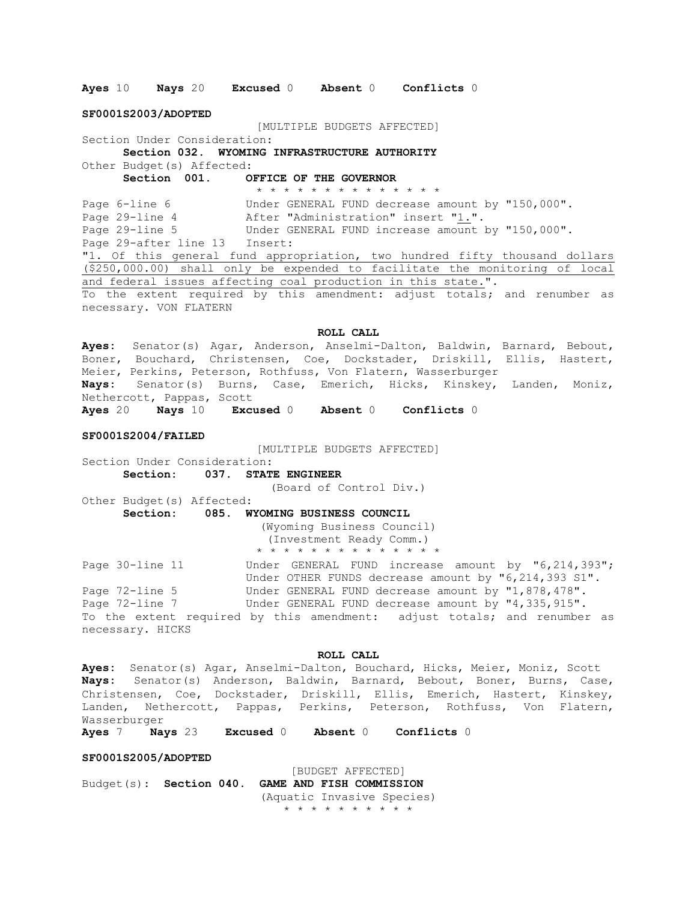**Ayes** 10 **Nays** 20 **Excused** 0 **Absent** 0 **Conflicts** 0

**SF0001S2003/ADOPTED**

[MULTIPLE BUDGETS AFFECTED]

Section Under Consideration:

**Section 032. WYOMING INFRASTRUCTURE AUTHORITY** Other Budget(s) Affected:

**Section 001. OFFICE OF THE GOVERNOR**

\* \* \* \* \* \* \* \* \* \* \* \* \* \* Page 6-line 6 Under GENERAL FUND decrease amount by "150,000". Page 29-line 4 After "Administration" insert "1.".<br>Page 29-line 5 Under GENERAL FUND increase amount Under GENERAL FUND increase amount by "150,000". Page 29-after line 13 Insert: "1. Of this general fund appropriation, two hundred fifty thousand dollars (\$250,000.00) shall only be expended to facilitate the monitoring of local and federal issues affecting coal production in this state.". To the extent required by this amendment: adjust totals; and renumber as necessary. VON FLATERN

**ROLL CALL**

**Ayes:** Senator(s) Agar, Anderson, Anselmi-Dalton, Baldwin, Barnard, Bebout, Boner, Bouchard, Christensen, Coe, Dockstader, Driskill, Ellis, Hastert, Meier, Perkins, Peterson, Rothfuss, Von Flatern, Wasserburger **Nays:** Senator(s) Burns, Case, Emerich, Hicks, Kinskey, Landen, Moniz, Nethercott, Pappas, Scott **Ayes** 20 **Nays** 10 **Excused** 0 **Absent** 0 **Conflicts** 0

#### **SF0001S2004/FAILED**

[MULTIPLE BUDGETS AFFECTED]

Section Under Consideration: **Section: 037. STATE ENGINEER**

(Board of Control Div.)

Other Budget(s) Affected: **Section: 085. WYOMING BUSINESS COUNCIL**

> (Wyoming Business Council) (Investment Ready Comm.) \* \* \* \* \* \* \* \* \* \* \* \* \* \*

Page 30-line 11 Under GENERAL FUND increase amount by "6,214,393"; Under OTHER FUNDS decrease amount by "6,214,393 S1". Page 72-line 5 Under GENERAL FUND decrease amount by "1,878,478". Page 72-line 7 Under GENERAL FUND decrease amount by "4,335,915". To the extent required by this amendment: adjust totals; and renumber as necessary. HICKS

#### **ROLL CALL**

**Ayes:** Senator(s) Agar, Anselmi-Dalton, Bouchard, Hicks, Meier, Moniz, Scott **Nays:** Senator(s) Anderson, Baldwin, Barnard, Bebout, Boner, Burns, Case, Christensen, Coe, Dockstader, Driskill, Ellis, Emerich, Hastert, Kinskey, Landen, Nethercott, Pappas, Perkins, Peterson, Rothfuss, Von Flatern, Wasserburger

**Ayes** 7 **Nays** 23 **Excused** 0 **Absent** 0 **Conflicts** 0

## **SF0001S2005/ADOPTED**

[BUDGET AFFECTED] Budget(s): **Section 040. GAME AND FISH COMMISSION** (Aquatic Invasive Species) \* \* \* \* \* \* \* \* \* \*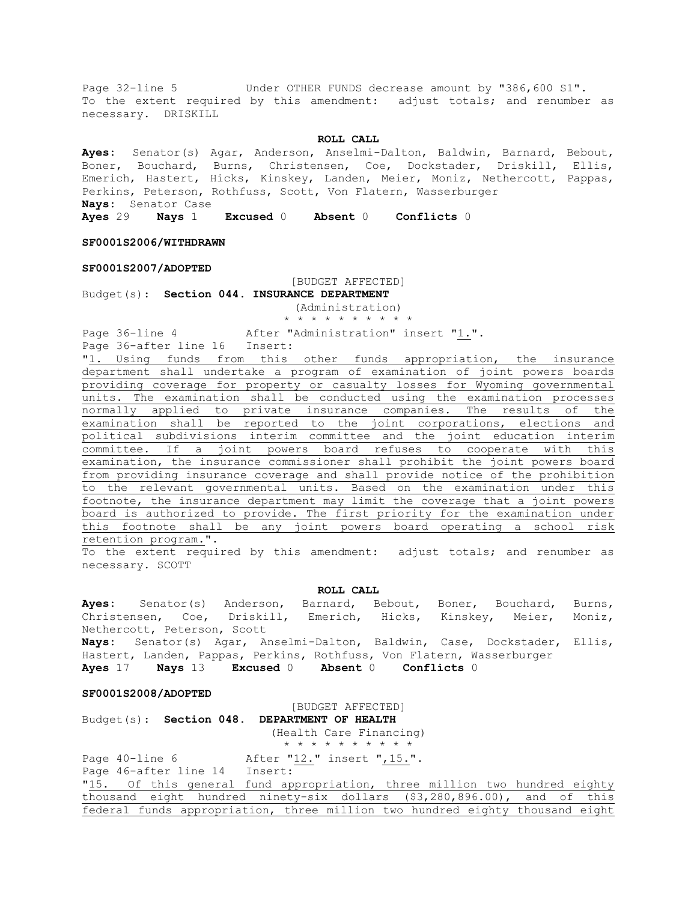Page 32-line 5 Under OTHER FUNDS decrease amount by "386,600 S1". To the extent required by this amendment: adjust totals; and renumber as necessary. DRISKILL

#### **ROLL CALL**

**Ayes:** Senator(s) Agar, Anderson, Anselmi-Dalton, Baldwin, Barnard, Bebout, Boner, Bouchard, Burns, Christensen, Coe, Dockstader, Driskill, Ellis, Emerich, Hastert, Hicks, Kinskey, Landen, Meier, Moniz, Nethercott, Pappas, Perkins, Peterson, Rothfuss, Scott, Von Flatern, Wasserburger **Nays:** Senator Case

**Ayes** 29 **Nays** 1 **Excused** 0 **Absent** 0 **Conflicts** 0

**SF0001S2006/WITHDRAWN**

## **SF0001S2007/ADOPTED**

[BUDGET AFFECTED]

Budget(s): **Section 044. INSURANCE DEPARTMENT** (Administration)

\* \* \* \* \* \* \* \* \* \*

Page 36-line 4 After "Administration" insert "1.".

Page 36-after line 16 Insert:

"1. Using funds from this other funds appropriation, the insurance department shall undertake a program of examination of joint powers boards providing coverage for property or casualty losses for Wyoming governmental units. The examination shall be conducted using the examination processes normally applied to private insurance companies. The results of the examination shall be reported to the joint corporations, elections and political subdivisions interim committee and the joint education interim committee. If a joint powers board refuses to cooperate with this examination, the insurance commissioner shall prohibit the joint powers board from providing insurance coverage and shall provide notice of the prohibition to the relevant governmental units. Based on the examination under this footnote, the insurance department may limit the coverage that a joint powers board is authorized to provide. The first priority for the examination under this footnote shall be any joint powers board operating a school risk retention program.".

To the extent required by this amendment: adjust totals; and renumber as necessary. SCOTT

## **ROLL CALL**

**Ayes:** Senator(s) Anderson, Barnard, Bebout, Boner, Bouchard, Burns, Christensen, Coe, Driskill, Emerich, Hicks, Kinskey, Meier, Moniz, Nethercott, Peterson, Scott **Nays:** Senator(s) Agar, Anselmi-Dalton, Baldwin, Case, Dockstader, Ellis, Hastert, Landen, Pappas, Perkins, Rothfuss, Von Flatern, Wasserburger **Ayes** 17 **Nays** 13 **Excused** 0 **Absent** 0 **Conflicts** 0

#### **SF0001S2008/ADOPTED**

[BUDGET AFFECTED] Budget(s): **Section 048. DEPARTMENT OF HEALTH** (Health Care Financing) \* \* \* \* \* \* \* \* \* \* Page 40-line 6 After "12." insert ", 15.". Page 46-after line 14 Insert: "15. Of this general fund appropriation, three million two hundred eighty thousand eight hundred ninety-six dollars (\$3,280,896.00), and of this federal funds appropriation, three million two hundred eighty thousand eight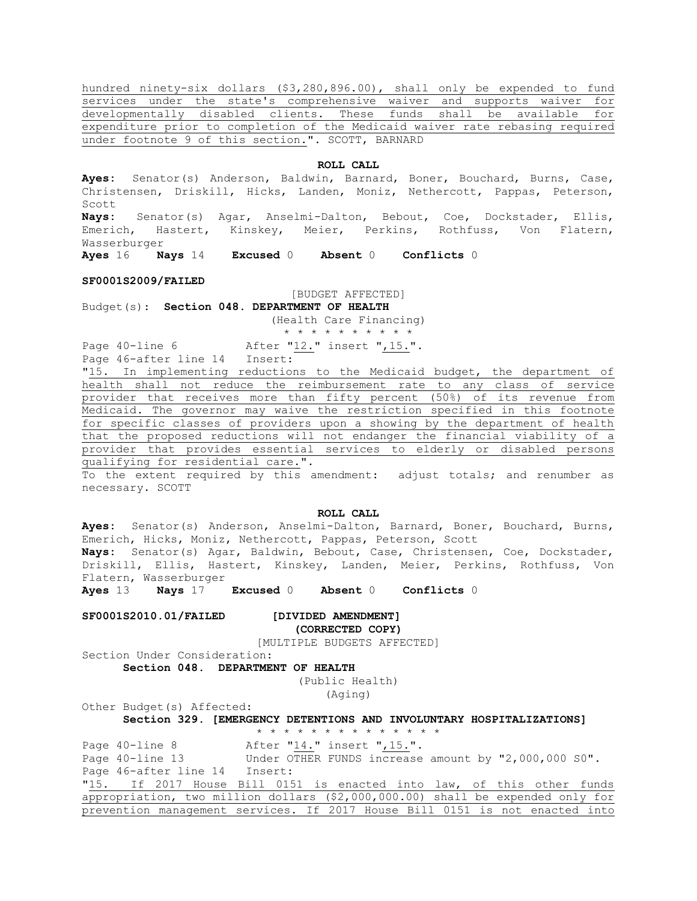hundred ninety-six dollars (\$3,280,896.00), shall only be expended to fund services under the state's comprehensive waiver and supports waiver for developmentally disabled clients. These funds shall be available for expenditure prior to completion of the Medicaid waiver rate rebasing required under footnote 9 of this section.". SCOTT, BARNARD

#### **ROLL CALL**

**Ayes:** Senator(s) Anderson, Baldwin, Barnard, Boner, Bouchard, Burns, Case, Christensen, Driskill, Hicks, Landen, Moniz, Nethercott, Pappas, Peterson, Scott

**Nays:** Senator(s) Agar, Anselmi-Dalton, Bebout, Coe, Dockstader, Ellis, Emerich, Hastert, Kinskey, Meier, Perkins, Rothfuss, Von Flatern, Wasserburger

**Ayes** 16 **Nays** 14 **Excused** 0 **Absent** 0 **Conflicts** 0

#### **SF0001S2009/FAILED**

[BUDGET AFFECTED]

Budget(s): **Section 048. DEPARTMENT OF HEALTH** (Health Care Financing)

\* \* \* \* \* \* \* \* \* \*

Page 40-line 6 After "12." insert ", 15.". Page 46-after line 14 Insert:

"15. In implementing reductions to the Medicaid budget, the department of health shall not reduce the reimbursement rate to any class of service provider that receives more than fifty percent (50%) of its revenue from Medicaid. The governor may waive the restriction specified in this footnote for specific classes of providers upon a showing by the department of health that the proposed reductions will not endanger the financial viability of a provider that provides essential services to elderly or disabled persons qualifying for residential care.".

To the extent required by this amendment: adjust totals; and renumber as necessary. SCOTT

## **ROLL CALL**

**Ayes:** Senator(s) Anderson, Anselmi-Dalton, Barnard, Boner, Bouchard, Burns, Emerich, Hicks, Moniz, Nethercott, Pappas, Peterson, Scott **Nays:** Senator(s) Agar, Baldwin, Bebout, Case, Christensen, Coe, Dockstader, Driskill, Ellis, Hastert, Kinskey, Landen, Meier, Perkins, Rothfuss, Von Flatern, Wasserburger

**Ayes** 13 **Nays** 17 **Excused** 0 **Absent** 0 **Conflicts** 0

**SF0001S2010.01/FAILED [DIVIDED AMENDMENT]**

**(CORRECTED COPY)**

[MULTIPLE BUDGETS AFFECTED]

Section Under Consideration: **Section 048. DEPARTMENT OF HEALTH**

(Public Health) (Aging)

Other Budget(s) Affected:

**Section 329. [EMERGENCY DETENTIONS AND INVOLUNTARY HOSPITALIZATIONS]**

\* \* \* \* \* \* \* \* \* \* \* \* \* \*

Page 40-line 8 After "14." insert ", 15.". Page 40-line 13 Under OTHER FUNDS increase amount by "2,000,000 S0". Page 46-after line 14 Insert: "15. If 2017 House Bill 0151 is enacted into law, of this other funds appropriation, two million dollars (\$2,000,000.00) shall be expended only for prevention management services. If 2017 House Bill 0151 is not enacted into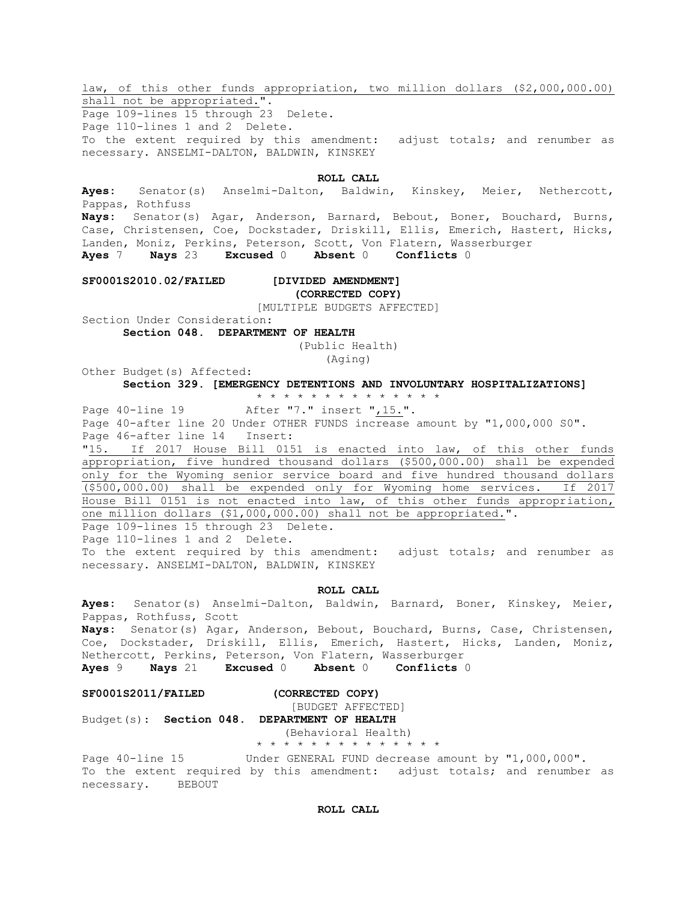law, of this other funds appropriation, two million dollars (\$2,000,000.00) shall not be appropriated.".

Page 109-lines 15 through 23 Delete. Page 110-lines 1 and 2 Delete. To the extent required by this amendment: adjust totals; and renumber as necessary. ANSELMI-DALTON, BALDWIN, KINSKEY

## **ROLL CALL**

**Ayes:** Senator(s) Anselmi-Dalton, Baldwin, Kinskey, Meier, Nethercott, Pappas, Rothfuss **Nays:** Senator(s) Agar, Anderson, Barnard, Bebout, Boner, Bouchard, Burns, Case, Christensen, Coe, Dockstader, Driskill, Ellis, Emerich, Hastert, Hicks, Landen, Moniz, Perkins, Peterson, Scott, Von Flatern, Wasserburger **Ayes** 7 **Nays** 23 **Excused** 0 **Absent** 0 **Conflicts** 0

**SF0001S2010.02/FAILED [DIVIDED AMENDMENT]**

# **(CORRECTED COPY)**

[MULTIPLE BUDGETS AFFECTED]

Section Under Consideration:

**Section 048. DEPARTMENT OF HEALTH**

(Public Health)

(Aging)

Other Budget(s) Affected: **Section 329. [EMERGENCY DETENTIONS AND INVOLUNTARY HOSPITALIZATIONS]**

\* \* \* \* \* \* \* \* \* \* \* \* \* \*

Page 40-line 19 Meter "7." insert ", 15.". Page 40-after line 20 Under OTHER FUNDS increase amount by "1,000,000 S0". Page 46-after line 14 Insert:

"15. If 2017 House Bill 0151 is enacted into law, of this other funds appropriation, five hundred thousand dollars (\$500,000.00) shall be expended only for the Wyoming senior service board and five hundred thousand dollars (\$500,000.00) shall be expended only for Wyoming home services. If 2017 House Bill 0151 is not enacted into law, of this other funds appropriation, one million dollars (\$1,000,000.00) shall not be appropriated.".

Page 109-lines 15 through 23 Delete. Page 110-lines 1 and 2 Delete. To the extent required by this amendment: adjust totals; and renumber as necessary. ANSELMI-DALTON, BALDWIN, KINSKEY

**ROLL CALL**

**Ayes:** Senator(s) Anselmi-Dalton, Baldwin, Barnard, Boner, Kinskey, Meier, Pappas, Rothfuss, Scott **Nays:** Senator(s) Agar, Anderson, Bebout, Bouchard, Burns, Case, Christensen, Coe, Dockstader, Driskill, Ellis, Emerich, Hastert, Hicks, Landen, Moniz, Nethercott, Perkins, Peterson, Von Flatern, Wasserburger **Ayes** 9 **Nays** 21 **Excused** 0 **Absent** 0 **Conflicts** 0

#### **SF0001S2011/FAILED (CORRECTED COPY)**

[BUDGET AFFECTED] Budget(s): **Section 048. DEPARTMENT OF HEALTH**

> (Behavioral Health) \* \* \* \* \* \* \* \* \* \* \* \* \* \*

Page 40-line 15 Under GENERAL FUND decrease amount by "1,000,000". To the extent required by this amendment: adjust totals; and renumber as necessary. BEBOUT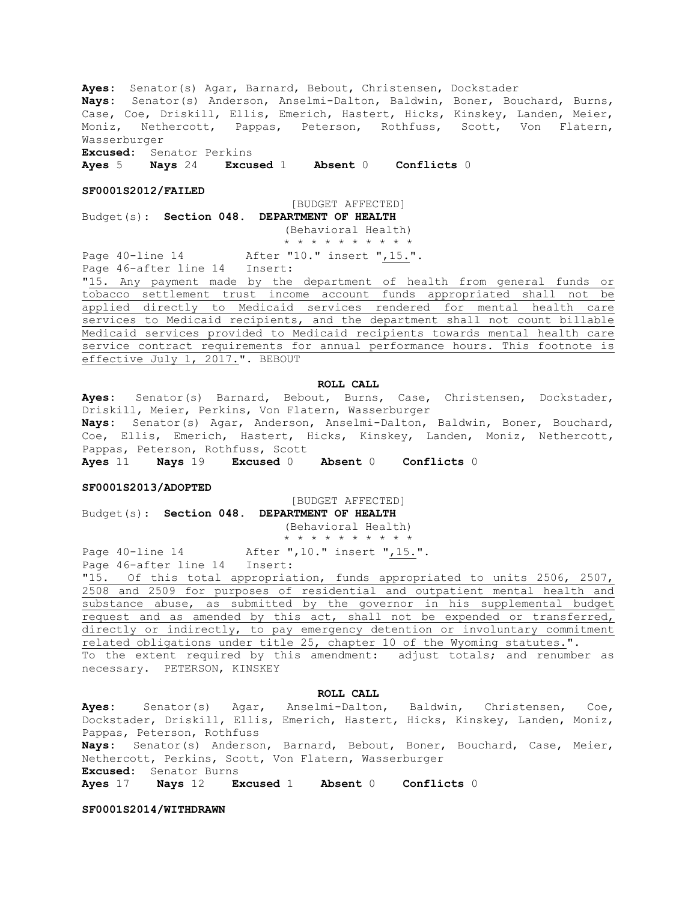**Ayes:** Senator(s) Agar, Barnard, Bebout, Christensen, Dockstader **Nays:** Senator(s) Anderson, Anselmi-Dalton, Baldwin, Boner, Bouchard, Burns, Case, Coe, Driskill, Ellis, Emerich, Hastert, Hicks, Kinskey, Landen, Meier, Moniz, Nethercott, Pappas, Peterson, Rothfuss, Scott, Von Flatern, Wasserburger

**Excused:** Senator Perkins **Ayes** 5 **Nays** 24 **Excused** 1 **Absent** 0 **Conflicts** 0

#### **SF0001S2012/FAILED**

[BUDGET AFFECTED]

Budget(s): **Section 048. DEPARTMENT OF HEALTH** (Behavioral Health)

\* \* \* \* \* \* \* \* \* \* Page 40-line 14 After "10." insert ", 15.".

Page 46-after line 14 Insert:

"15. Any payment made by the department of health from general funds or tobacco settlement trust income account funds appropriated shall not be applied directly to Medicaid services rendered for mental health care services to Medicaid recipients, and the department shall not count billable Medicaid services provided to Medicaid recipients towards mental health care service contract requirements for annual performance hours. This footnote is effective July 1, 2017.". BEBOUT

## **ROLL CALL**

**Ayes:** Senator(s) Barnard, Bebout, Burns, Case, Christensen, Dockstader, Driskill, Meier, Perkins, Von Flatern, Wasserburger **Nays:** Senator(s) Agar, Anderson, Anselmi-Dalton, Baldwin, Boner, Bouchard, Coe, Ellis, Emerich, Hastert, Hicks, Kinskey, Landen, Moniz, Nethercott, Pappas, Peterson, Rothfuss, Scott

**Ayes** 11 **Nays** 19 **Excused** 0 **Absent** 0 **Conflicts** 0

## **SF0001S2013/ADOPTED**

[BUDGET AFFECTED] Budget(s): **Section 048. DEPARTMENT OF HEALTH**

(Behavioral Health) \* \* \* \* \* \* \* \* \* \*

Page 40-line 14 After ", 10." insert ", 15.".

Page 46-after line 14 Insert:

"15. Of this total appropriation, funds appropriated to units 2506, 2507, 2508 and 2509 for purposes of residential and outpatient mental health and substance abuse, as submitted by the governor in his supplemental budget request and as amended by this act, shall not be expended or transferred, directly or indirectly, to pay emergency detention or involuntary commitment related obligations under title 25, chapter 10 of the Wyoming statutes.". To the extent required by this amendment: adjust totals; and renumber as necessary. PETERSON, KINSKEY

#### **ROLL CALL**

**Ayes:** Senator(s) Agar, Anselmi-Dalton, Baldwin, Christensen, Coe, Dockstader, Driskill, Ellis, Emerich, Hastert, Hicks, Kinskey, Landen, Moniz, Pappas, Peterson, Rothfuss **Nays:** Senator(s) Anderson, Barnard, Bebout, Boner, Bouchard, Case, Meier, Nethercott, Perkins, Scott, Von Flatern, Wasserburger **Excused:** Senator Burns **Ayes** 17 **Nays** 12 **Excused** 1 **Absent** 0 **Conflicts** 0

**SF0001S2014/WITHDRAWN**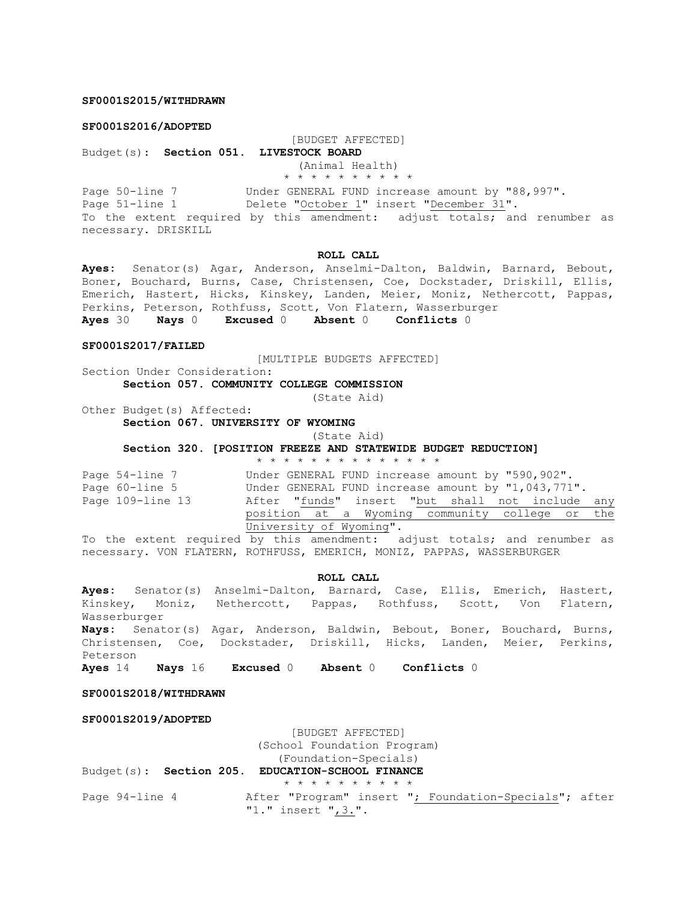## **SF0001S2015/WITHDRAWN**

#### **SF0001S2016/ADOPTED**

[BUDGET AFFECTED]

Budget(s): **Section 051. LIVESTOCK BOARD** (Animal Health)

\* \* \* \* \* \* \* \* \* \*

Page 50-line 7 Under GENERAL FUND increase amount by "88,997". Page 50-line 7 and the server of the increase amount  $\frac{x_1}{x_2}$ .<br>Page 51-line 1 Delete "<u>October 1</u>" insert "<u>December 31</u>". To the extent required by this amendment: adjust totals; and renumber as necessary. DRISKILL

## **ROLL CALL**

**Ayes:** Senator(s) Agar, Anderson, Anselmi-Dalton, Baldwin, Barnard, Bebout, Boner, Bouchard, Burns, Case, Christensen, Coe, Dockstader, Driskill, Ellis, Emerich, Hastert, Hicks, Kinskey, Landen, Meier, Moniz, Nethercott, Pappas, Perkins, Peterson, Rothfuss, Scott, Von Flatern, Wasserburger

**Ayes** 30 **Nays** 0 **Excused** 0 **Absent** 0 **Conflicts** 0

#### **SF0001S2017/FAILED**

[MULTIPLE BUDGETS AFFECTED]

Section Under Consideration: **Section 057. COMMUNITY COLLEGE COMMISSION**

(State Aid)

Other Budget(s) Affected: **Section 067. UNIVERSITY OF WYOMING**

(State Aid)

**Section 320. [POSITION FREEZE AND STATEWIDE BUDGET REDUCTION]**

### \* \* \* \* \* \* \* \* \* \* \* \* \* \*

Page 54-line 7 Under GENERAL FUND increase amount by "590,902". Page 60-line 5 Under GENERAL FUND increase amount by "1,043,771". Page 109-line 13 After "funds" insert "but shall not include any position at a Wyoming community college or the University of Wyoming".

To the extent required by this amendment: adjust totals; and renumber as necessary. VON FLATERN, ROTHFUSS, EMERICH, MONIZ, PAPPAS, WASSERBURGER

**ROLL CALL**

**Ayes:** Senator(s) Anselmi-Dalton, Barnard, Case, Ellis, Emerich, Hastert, Kinskey, Moniz, Nethercott, Pappas, Rothfuss, Scott, Von Flatern, Wasserburger **Nays:** Senator(s) Agar, Anderson, Baldwin, Bebout, Boner, Bouchard, Burns, Christensen, Coe, Dockstader, Driskill, Hicks, Landen, Meier, Perkins, Peterson **Ayes** 14 **Nays** 16 **Excused** 0 **Absent** 0 **Conflicts** 0

**SF0001S2018/WITHDRAWN**

**SF0001S2019/ADOPTED**

[BUDGET AFFECTED] (School Foundation Program)

(Foundation-Specials) Budget(s): **Section 205. EDUCATION-SCHOOL FINANCE** \* \* \* \* \* \* \* \* \* \* Page 94-line 4 After "Program" insert "; Foundation-Specials"; after "1." insert ",3.".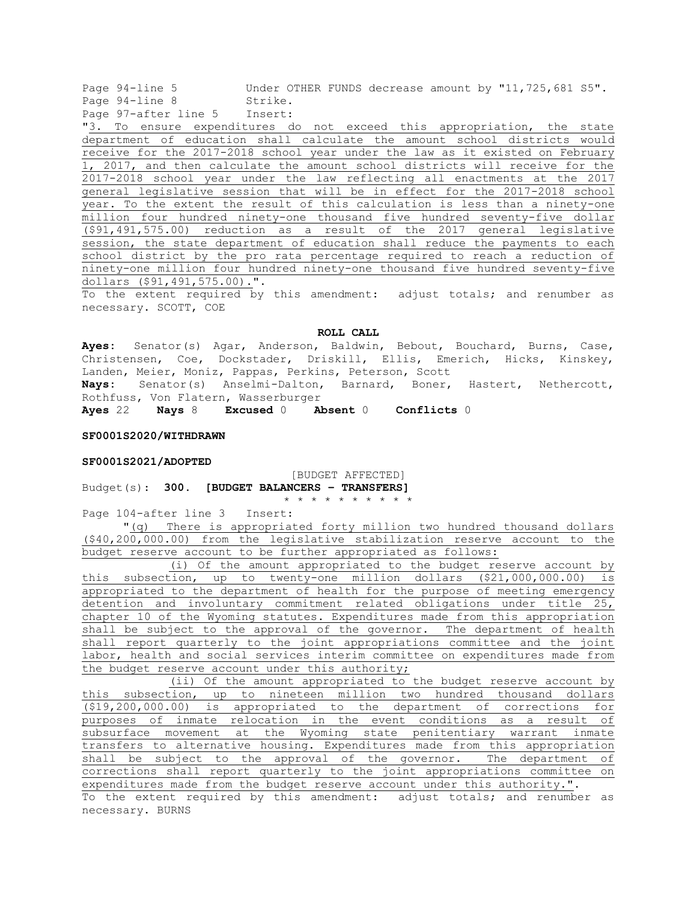Page 94-line 5 Under OTHER FUNDS decrease amount by "11,725,681 S5". Page 94-line 8 Strike.

Page 97-after line 5 Insert:

"3. To ensure expenditures do not exceed this appropriation, the state department of education shall calculate the amount school districts would receive for the 2017-2018 school year under the law as it existed on February 1, 2017, and then calculate the amount school districts will receive for the 2017-2018 school year under the law reflecting all enactments at the 2017 general legislative session that will be in effect for the 2017-2018 school year. To the extent the result of this calculation is less than a ninety-one million four hundred ninety-one thousand five hundred seventy-five dollar (\$91,491,575.00) reduction as a result of the 2017 general legislative session, the state department of education shall reduce the payments to each school district by the pro rata percentage required to reach a reduction of ninety-one million four hundred ninety-one thousand five hundred seventy-five dollars (\$91,491,575.00).".

To the extent required by this amendment: adjust totals; and renumber as necessary. SCOTT, COE

**ROLL CALL**

**Ayes:** Senator(s) Agar, Anderson, Baldwin, Bebout, Bouchard, Burns, Case, Christensen, Coe, Dockstader, Driskill, Ellis, Emerich, Hicks, Kinskey, Landen, Meier, Moniz, Pappas, Perkins, Peterson, Scott **Nays:** Senator(s) Anselmi-Dalton, Barnard, Boner, Hastert, Nethercott, Rothfuss, Von Flatern, Wasserburger

**Ayes** 22 **Nays** 8 **Excused** 0 **Absent** 0 **Conflicts** 0

## **SF0001S2020/WITHDRAWN**

#### **SF0001S2021/ADOPTED**

[BUDGET AFFECTED]

Budget(s): **300. [BUDGET BALANCERS – TRANSFERS]** \* \* \* \* \* \* \* \* \* \*

Page 104-after line 3 Insert:

"(q) There is appropriated forty million two hundred thousand dollars (\$40,200,000.00) from the legislative stabilization reserve account to the budget reserve account to be further appropriated as follows:

(i) Of the amount appropriated to the budget reserve account by this subsection, up to twenty-one million dollars (\$21,000,000.00) is appropriated to the department of health for the purpose of meeting emergency detention and involuntary commitment related obligations under title 25, chapter 10 of the Wyoming statutes. Expenditures made from this appropriation shall be subject to the approval of the governor. The department of health shall report quarterly to the joint appropriations committee and the joint labor, health and social services interim committee on expenditures made from the budget reserve account under this authority;

(ii) Of the amount appropriated to the budget reserve account by this subsection, up to nineteen million two hundred thousand dollars (\$19,200,000.00) is appropriated to the department of corrections for purposes of inmate relocation in the event conditions as a result of subsurface movement at the Wyoming state penitentiary warrant inmate transfers to alternative housing. Expenditures made from this appropriation shall be subject to the approval of the governor. The department of corrections shall report quarterly to the joint appropriations committee on expenditures made from the budget reserve account under this authority.". To the extent required by this amendment: adjust totals; and renumber as necessary. BURNS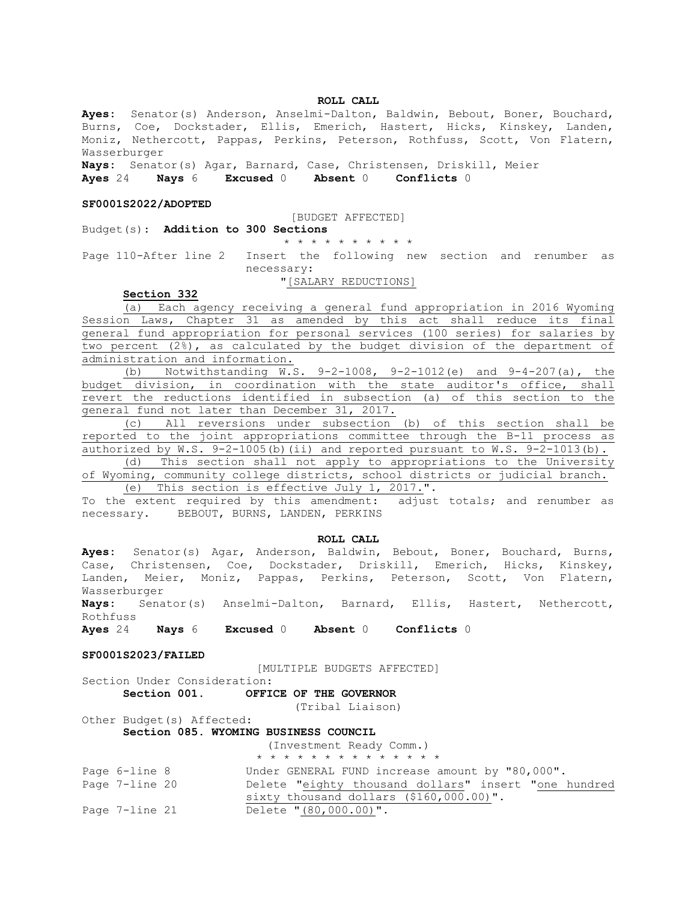## **ROLL CALL**

**Ayes:** Senator(s) Anderson, Anselmi-Dalton, Baldwin, Bebout, Boner, Bouchard, Burns, Coe, Dockstader, Ellis, Emerich, Hastert, Hicks, Kinskey, Landen, Moniz, Nethercott, Pappas, Perkins, Peterson, Rothfuss, Scott, Von Flatern, Wasserburger

**Nays:** Senator(s) Agar, Barnard, Case, Christensen, Driskill, Meier **Ayes** 24 **Nays** 6 **Excused** 0 **Absent** 0 **Conflicts** 0

#### **SF0001S2022/ADOPTED**

#### [BUDGET AFFECTED]

## Budget(s): **Addition to 300 Sections**

\* \* \* \* \* \* \* \* \* \*

Page 110-After line 2 Insert the following new section and renumber as necessary:

## "[SALARY REDUCTIONS]

## **Section 332**

(a) Each agency receiving a general fund appropriation in 2016 Wyoming Session Laws, Chapter 31 as amended by this act shall reduce its final general fund appropriation for personal services (100 series) for salaries by two percent (2%), as calculated by the budget division of the department of administration and information.

(b) Notwithstanding W.S. 9-2-1008, 9-2-1012(e) and 9-4-207(a), the budget division, in coordination with the state auditor's office, shall revert the reductions identified in subsection (a) of this section to the general fund not later than December 31, 2017.

(c) All reversions under subsection (b) of this section shall be reported to the joint appropriations committee through the B-11 process as authorized by W.S. 9-2-1005(b)(ii) and reported pursuant to W.S. 9-2-1013(b).

(d) This section shall not apply to appropriations to the University of Wyoming, community college districts, school districts or judicial branch.

(e) This section is effective July 1, 2017.".

To the extent required by this amendment: adjust totals; and renumber as necessary. BEBOUT, BURNS, LANDEN, PERKINS

#### **ROLL CALL**

**Ayes:** Senator(s) Agar, Anderson, Baldwin, Bebout, Boner, Bouchard, Burns, Case, Christensen, Coe, Dockstader, Driskill, Emerich, Hicks, Kinskey, Landen, Meier, Moniz, Pappas, Perkins, Peterson, Scott, Von Flatern, Wasserburger

**Nays:** Senator(s) Anselmi-Dalton, Barnard, Ellis, Hastert, Nethercott, Rothfuss

**Ayes** 24 **Nays** 6 **Excused** 0 **Absent** 0 **Conflicts** 0

## **SF0001S2023/FAILED**

[MULTIPLE BUDGETS AFFECTED]

|              | Section Under Consideration: |                        |  |  |
|--------------|------------------------------|------------------------|--|--|
| Section 001. |                              | OFFICE OF THE GOVERNOR |  |  |
|              |                              |                        |  |  |

(Tribal Liaison)

Other Budget(s) Affected: **Section 085. WYOMING BUSINESS COUNCIL**

(Investment Ready Comm.)

|                | * * * * * * * * * * * * * *                          |
|----------------|------------------------------------------------------|
| Page 6-line 8  | Under GENERAL FUND increase amount by "80,000".      |
| Page 7-line 20 | Delete "eighty thousand dollars" insert "one hundred |
|                | sixty thousand dollars $($160,000.00)$ ".            |
| Page 7-line 21 | Delete "(80,000.00)".                                |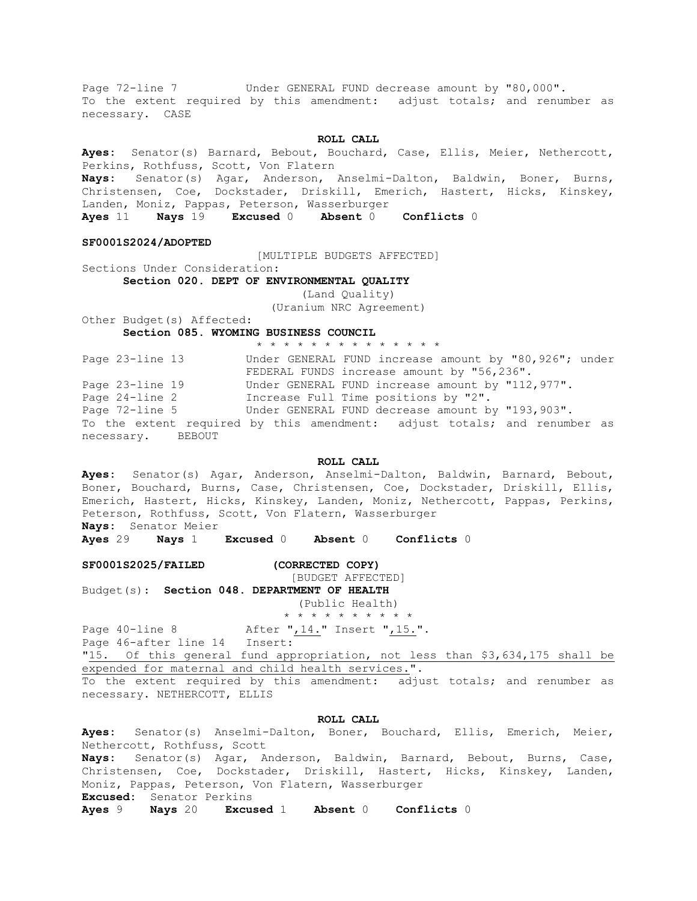Page 72-line 7 Under GENERAL FUND decrease amount by "80,000". To the extent required by this amendment: adjust totals; and renumber as necessary. CASE

#### **ROLL CALL**

**Ayes:** Senator(s) Barnard, Bebout, Bouchard, Case, Ellis, Meier, Nethercott, Perkins, Rothfuss, Scott, Von Flatern

**Nays:** Senator(s) Agar, Anderson, Anselmi-Dalton, Baldwin, Boner, Burns, Christensen, Coe, Dockstader, Driskill, Emerich, Hastert, Hicks, Kinskey, Landen, Moniz, Pappas, Peterson, Wasserburger

**Ayes** 11 **Nays** 19 **Excused** 0 **Absent** 0 **Conflicts** 0

**SF0001S2024/ADOPTED**

[MULTIPLE BUDGETS AFFECTED]

Sections Under Consideration: **Section 020. DEPT OF ENVIRONMENTAL QUALITY**

(Land Quality)

(Uranium NRC Agreement)

Other Budget(s) Affected: **Section 085. WYOMING BUSINESS COUNCIL**

\* \* \* \* \* \* \* \* \* \* \* \* \* \*

Page 23-line 13 Under GENERAL FUND increase amount by "80,926"; under FEDERAL FUNDS increase amount by "56,236". Page 23-line 19 Under GENERAL FUND increase amount by "112,977". Page 24-line 2 Increase Full Time positions by "2". Page 72-line 5 Under GENERAL FUND decrease amount by "193,903". To the extent required by this amendment: adjust totals; and renumber as necessary. BEBOUT

### **ROLL CALL**

**Ayes:** Senator(s) Agar, Anderson, Anselmi-Dalton, Baldwin, Barnard, Bebout, Boner, Bouchard, Burns, Case, Christensen, Coe, Dockstader, Driskill, Ellis, Emerich, Hastert, Hicks, Kinskey, Landen, Moniz, Nethercott, Pappas, Perkins, Peterson, Rothfuss, Scott, Von Flatern, Wasserburger **Nays:** Senator Meier

**Ayes** 29 **Nays** 1 **Excused** 0 **Absent** 0 **Conflicts** 0

#### **SF0001S2025/FAILED (CORRECTED COPY)**

[BUDGET AFFECTED]

Budget(s): **Section 048. DEPARTMENT OF HEALTH**

(Public Health) \* \* \* \* \* \* \* \* \* \*

Page  $40$ -line 8 After " $,14.$ " Insert " $,15.$ ".

Page 46-after line 14 Insert:

"15. Of this general fund appropriation, not less than \$3,634,175 shall be expended for maternal and child health services.".

To the extent required by this amendment: adjust totals; and renumber as necessary. NETHERCOTT, ELLIS

## **ROLL CALL**

**Ayes:** Senator(s) Anselmi-Dalton, Boner, Bouchard, Ellis, Emerich, Meier, Nethercott, Rothfuss, Scott **Nays:** Senator(s) Agar, Anderson, Baldwin, Barnard, Bebout, Burns, Case, Christensen, Coe, Dockstader, Driskill, Hastert, Hicks, Kinskey, Landen, Moniz, Pappas, Peterson, Von Flatern, Wasserburger

**Excused:** Senator Perkins

**Ayes** 9 **Nays** 20 **Excused** 1 **Absent** 0 **Conflicts** 0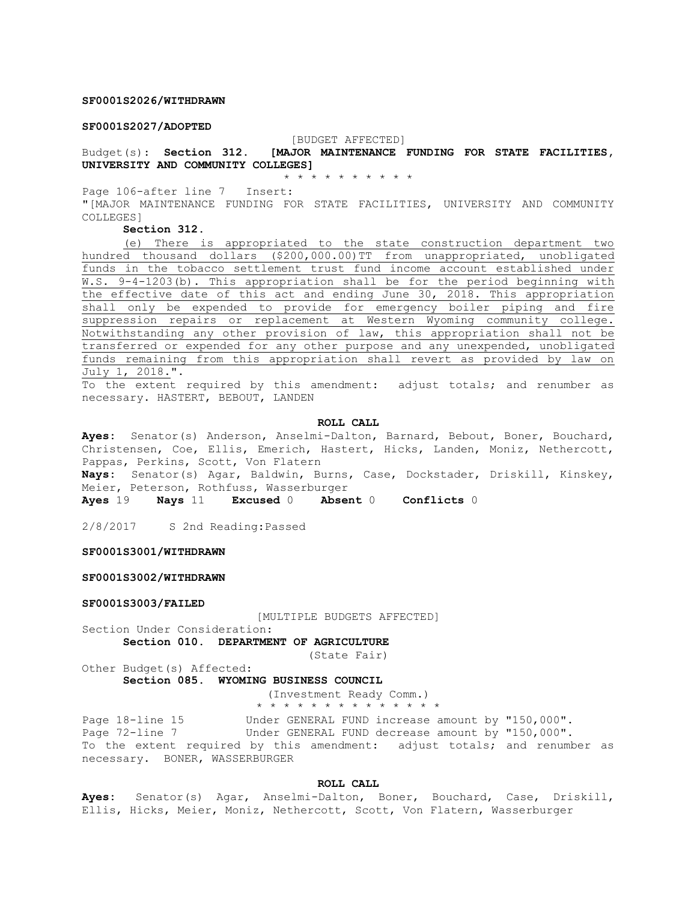## **SF0001S2026/WITHDRAWN**

## **SF0001S2027/ADOPTED**

#### [BUDGET AFFECTED]

Budget(s): **Section 312. [MAJOR MAINTENANCE FUNDING FOR STATE FACILITIES, UNIVERSITY AND COMMUNITY COLLEGES]**

\* \* \* \* \* \* \* \* \* \*

Page 106-after line 7 Insert:

"[MAJOR MAINTENANCE FUNDING FOR STATE FACILITIES, UNIVERSITY AND COMMUNITY COLLEGES]

**Section 312.** 

(e) There is appropriated to the state construction department two hundred thousand dollars (\$200,000.00)TT from unappropriated, unobligated funds in the tobacco settlement trust fund income account established under W.S. 9-4-1203(b). This appropriation shall be for the period beginning with the effective date of this act and ending June 30, 2018. This appropriation shall only be expended to provide for emergency boiler piping and fire suppression repairs or replacement at Western Wyoming community college. Notwithstanding any other provision of law, this appropriation shall not be transferred or expended for any other purpose and any unexpended, unobligated funds remaining from this appropriation shall revert as provided by law on July 1, 2018.".

To the extent required by this amendment: adjust totals; and renumber as necessary. HASTERT, BEBOUT, LANDEN

#### **ROLL CALL**

**Ayes:** Senator(s) Anderson, Anselmi-Dalton, Barnard, Bebout, Boner, Bouchard, Christensen, Coe, Ellis, Emerich, Hastert, Hicks, Landen, Moniz, Nethercott, Pappas, Perkins, Scott, Von Flatern

**Nays:** Senator(s) Agar, Baldwin, Burns, Case, Dockstader, Driskill, Kinskey, Meier, Peterson, Rothfuss, Wasserburger

**Ayes** 19 **Nays** 11 **Excused** 0 **Absent** 0 **Conflicts** 0

2/8/2017 S 2nd Reading:Passed

#### **SF0001S3001/WITHDRAWN**

**SF0001S3002/WITHDRAWN**

#### **SF0001S3003/FAILED**

[MULTIPLE BUDGETS AFFECTED]

Section Under Consideration:

**Section 010. DEPARTMENT OF AGRICULTURE**

(State Fair)

Other Budget(s) Affected:

**Section 085. WYOMING BUSINESS COUNCIL**

(Investment Ready Comm.) \* \* \* \* \* \* \* \* \* \* \* \* \* \*

Page 18-line 15 Under GENERAL FUND increase amount by "150,000". Page 72-line 7 Under GENERAL FUND decrease amount by "150,000". To the extent required by this amendment: adjust totals; and renumber as necessary. BONER, WASSERBURGER

#### **ROLL CALL**

**Ayes:** Senator(s) Agar, Anselmi-Dalton, Boner, Bouchard, Case, Driskill, Ellis, Hicks, Meier, Moniz, Nethercott, Scott, Von Flatern, Wasserburger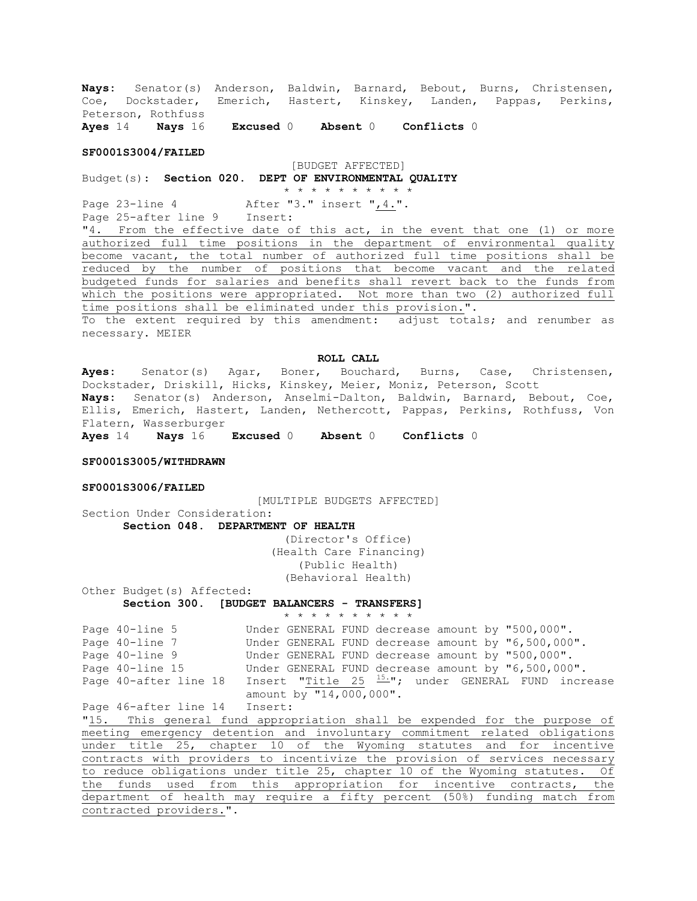**Nays:** Senator(s) Anderson, Baldwin, Barnard, Bebout, Burns, Christensen, Coe, Dockstader, Emerich, Hastert, Kinskey, Landen, Pappas, Perkins, Peterson, Rothfuss **Ayes** 14 **Nays** 16 **Excused** 0 **Absent** 0 **Conflicts** 0

#### **SF0001S3004/FAILED**

## [BUDGET AFFECTED] Budget(s): **Section 020. DEPT OF ENVIRONMENTAL QUALITY** \* \* \* \* \* \* \* \* \* \*

Page 23-line 4 After "3." insert ", 4.". Page 25-after line 9 Insert:

"4. From the effective date of this act, in the event that one (1) or more authorized full time positions in the department of environmental quality become vacant, the total number of authorized full time positions shall be reduced by the number of positions that become vacant and the related budgeted funds for salaries and benefits shall revert back to the funds from which the positions were appropriated. Not more than two (2) authorized full time positions shall be eliminated under this provision.".

To the extent required by this amendment: adjust totals; and renumber as necessary. MEIER

#### **ROLL CALL**

**Ayes:** Senator(s) Agar, Boner, Bouchard, Burns, Case, Christensen, Dockstader, Driskill, Hicks, Kinskey, Meier, Moniz, Peterson, Scott **Nays:** Senator(s) Anderson, Anselmi-Dalton, Baldwin, Barnard, Bebout, Coe, Ellis, Emerich, Hastert, Landen, Nethercott, Pappas, Perkins, Rothfuss, Von Flatern, Wasserburger

**Ayes** 14 **Nays** 16 **Excused** 0 **Absent** 0 **Conflicts** 0

## **SF0001S3005/WITHDRAWN**

#### **SF0001S3006/FAILED**

[MULTIPLE BUDGETS AFFECTED] Section Under Consideration:

**Section 048. DEPARTMENT OF HEALTH**

(Director's Office) (Health Care Financing) (Public Health) (Behavioral Health)

Other Budget(s) Affected: **Section 300. [BUDGET BALANCERS - TRANSFERS]**

```
* * * * * * * * * *
Page 40-line 5 Under GENERAL FUND decrease amount by "500,000".
Page 40-line 7 Under GENERAL FUND decrease amount by "6,500,000".
Page 40-line 9 Under GENERAL FUND decrease amount by "500,000".
Page 40-line 15 Under GENERAL FUND decrease amount by "6,500,000".
Page 40-after line 18 Insert "Title 25 \frac{15.}{ }"; under GENERAL FUND increase
                     amount by "14,000,000".
```
Page 46-after line 14 Insert:

"15. This general fund appropriation shall be expended for the purpose of meeting emergency detention and involuntary commitment related obligations under title 25, chapter 10 of the Wyoming statutes and for incentive contracts with providers to incentivize the provision of services necessary to reduce obligations under title 25, chapter 10 of the Wyoming statutes. Of the funds used from this appropriation for incentive contracts, the department of health may require a fifty percent (50%) funding match from contracted providers.".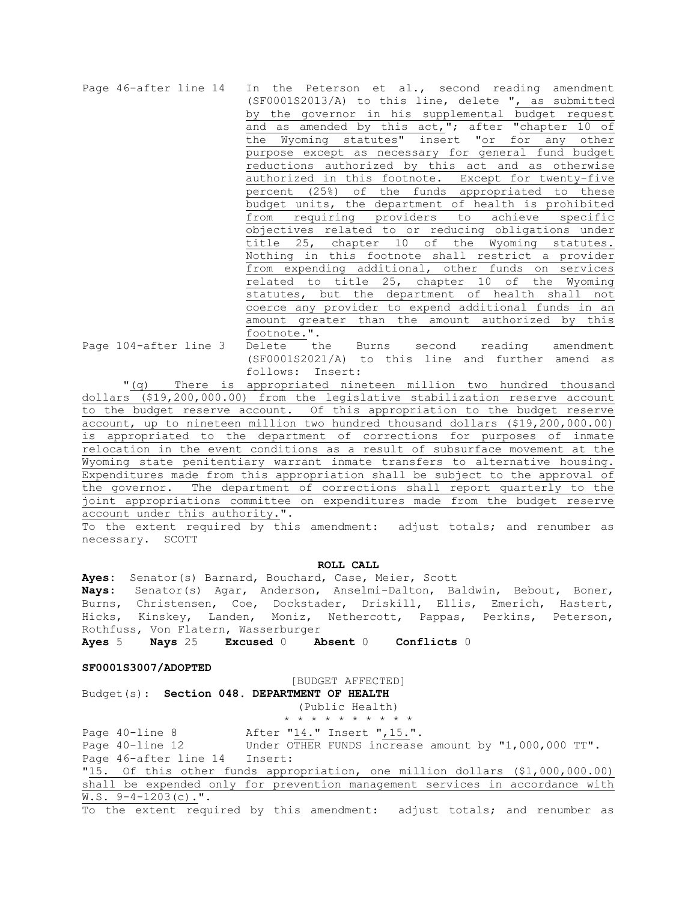|                                  | Page 46-after line 14 In the Peterson et al., second reading amendment |
|----------------------------------|------------------------------------------------------------------------|
|                                  | (SF0001S2013/A) to this line, delete ", as submitted                   |
|                                  | by the governor in his supplemental budget request                     |
|                                  | and as amended by this act,"; after "chapter 10 of                     |
|                                  | the Wyoming statutes" insert "or for any other                         |
|                                  | purpose except as necessary for general fund budget                    |
|                                  | reductions authorized by this act and as otherwise                     |
|                                  | authorized in this footnote. Except for twenty-five                    |
|                                  | percent (25%) of the funds appropriated to these                       |
|                                  | budget units, the department of health is prohibited                   |
|                                  | requiring providers to<br>achieve specific<br>from                     |
|                                  | objectives related to or reducing obligations under                    |
|                                  | title 25, chapter 10 of the Wyoming statutes.                          |
|                                  | Nothing in this footnote shall restrict a provider                     |
|                                  | from expending additional, other funds on services                     |
|                                  | related to title 25, chapter 10 of the<br>Wyoming                      |
|                                  | statutes, but the department of health shall not                       |
|                                  | coerce any provider to expend additional funds in an                   |
|                                  | amount greater than the amount authorized by this                      |
|                                  | footnote.".                                                            |
| Page 104-after line 3 Delete the | Burns second reading amendment                                         |
|                                  | (SF0001S2021/A) to this line and further amend as                      |

follows: Insert: "(q) There is appropriated nineteen million two hundred thousand dollars (\$19,200,000.00) from the legislative stabilization reserve account to the budget reserve account. Of this appropriation to the budget reserve account, up to nineteen million two hundred thousand dollars (\$19,200,000.00) is appropriated to the department of corrections for purposes of inmate relocation in the event conditions as a result of subsurface movement at the Wyoming state penitentiary warrant inmate transfers to alternative housing. Expenditures made from this appropriation shall be subject to the approval of the governor. The department of corrections shall report quarterly to the joint appropriations committee on expenditures made from the budget reserve account under this authority.".

To the extent required by this amendment: adjust totals; and renumber as necessary. SCOTT

#### **ROLL CALL**

**Ayes:** Senator(s) Barnard, Bouchard, Case, Meier, Scott **Nays:** Senator(s) Agar, Anderson, Anselmi-Dalton, Baldwin, Bebout, Boner, Burns, Christensen, Coe, Dockstader, Driskill, Ellis, Emerich, Hastert, Hicks, Kinskey, Landen, Moniz, Nethercott, Pappas, Perkins, Peterson, Rothfuss, Von Flatern, Wasserburger

**Ayes** 5 **Nays** 25 **Excused** 0 **Absent** 0 **Conflicts** 0

#### **SF0001S3007/ADOPTED**

[BUDGET AFFECTED] Budget(s): **Section 048. DEPARTMENT OF HEALTH**

(Public Health) \* \* \* \* \* \* \* \* \* \* Page 40-line 8 After "14." Insert ", 15.". Page 40-line 12 Under OTHER FUNDS increase amount by "1,000,000 TT". Page 46-after line 14 Insert: "15. Of this other funds appropriation, one million dollars (\$1,000,000.00) shall be expended only for prevention management services in accordance with  $W.S. 9-4-1203(c)$ .".

To the extent required by this amendment: adjust totals; and renumber as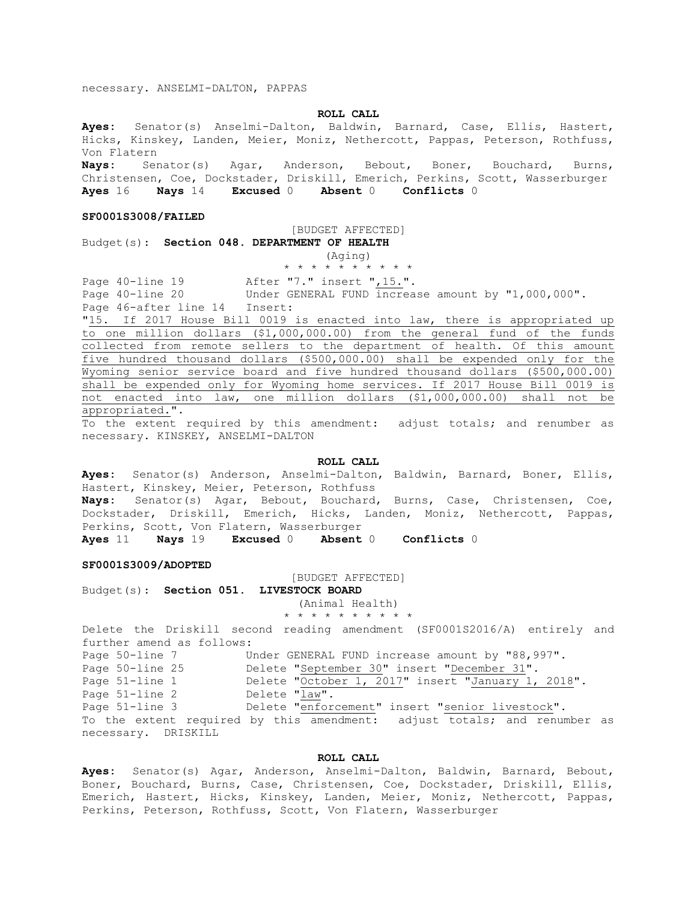necessary. ANSELMI-DALTON, PAPPAS

### **ROLL CALL**

**Ayes:** Senator(s) Anselmi-Dalton, Baldwin, Barnard, Case, Ellis, Hastert, Hicks, Kinskey, Landen, Meier, Moniz, Nethercott, Pappas, Peterson, Rothfuss, Von Flatern

**Nays:** Senator(s) Agar, Anderson, Bebout, Boner, Bouchard, Burns, Christensen, Coe, Dockstader, Driskill, Emerich, Perkins, Scott, Wasserburger **Ayes** 16 **Nays** 14 **Excused** 0 **Absent** 0 **Conflicts** 0

#### **SF0001S3008/FAILED**

#### [BUDGET AFFECTED]

Budget(s): **Section 048. DEPARTMENT OF HEALTH**

(Aging)

\* \* \* \* \* \* \* \* \* \*

Page 40-line 19 After "7." insert ", 15.".<br>Page 40-line 20 Under GENERAL FUND increa Under GENERAL FUND  $\overline{\text{increase}}$  amount by "1,000,000".

Page 46-after line 14 Insert:

"15. If 2017 House Bill 0019 is enacted into law, there is appropriated up to one million dollars (\$1,000,000.00) from the general fund of the funds collected from remote sellers to the department of health. Of this amount five hundred thousand dollars (\$500,000.00) shall be expended only for the Wyoming senior service board and five hundred thousand dollars (\$500,000.00) shall be expended only for Wyoming home services. If 2017 House Bill 0019 is not enacted into law, one million dollars (\$1,000,000.00) shall not be appropriated.".

To the extent required by this amendment: adjust totals; and renumber as necessary. KINSKEY, ANSELMI-DALTON

## **ROLL CALL**

**Ayes:** Senator(s) Anderson, Anselmi-Dalton, Baldwin, Barnard, Boner, Ellis, Hastert, Kinskey, Meier, Peterson, Rothfuss

**Nays:** Senator(s) Agar, Bebout, Bouchard, Burns, Case, Christensen, Coe, Dockstader, Driskill, Emerich, Hicks, Landen, Moniz, Nethercott, Pappas, Perkins, Scott, Von Flatern, Wasserburger

**Ayes** 11 **Nays** 19 **Excused** 0 **Absent** 0 **Conflicts** 0

#### **SF0001S3009/ADOPTED**

[BUDGET AFFECTED]

Budget(s): **Section 051. LIVESTOCK BOARD**

(Animal Health)

\* \* \* \* \* \* \* \* \* \*

Delete the Driskill second reading amendment (SF0001S2016/A) entirely and further amend as follows: Page 50-line 7 Under GENERAL FUND increase amount by "88,997". Page 50-line 25 Delete "September 30" insert "December 31".

Page 51-line 1 Delete "October 1, 2017" insert "January 1, 2018".

Page 51-line 2 Delete " $\frac{1}{\text{law}}$ ".<br>Page 51-line 3 Delete "enfore Delete "enforcement" insert "senior livestock".

To the extent required by this amendment: adjust totals; and renumber as necessary. DRISKILL

## **ROLL CALL**

**Ayes:** Senator(s) Agar, Anderson, Anselmi-Dalton, Baldwin, Barnard, Bebout, Boner, Bouchard, Burns, Case, Christensen, Coe, Dockstader, Driskill, Ellis, Emerich, Hastert, Hicks, Kinskey, Landen, Meier, Moniz, Nethercott, Pappas, Perkins, Peterson, Rothfuss, Scott, Von Flatern, Wasserburger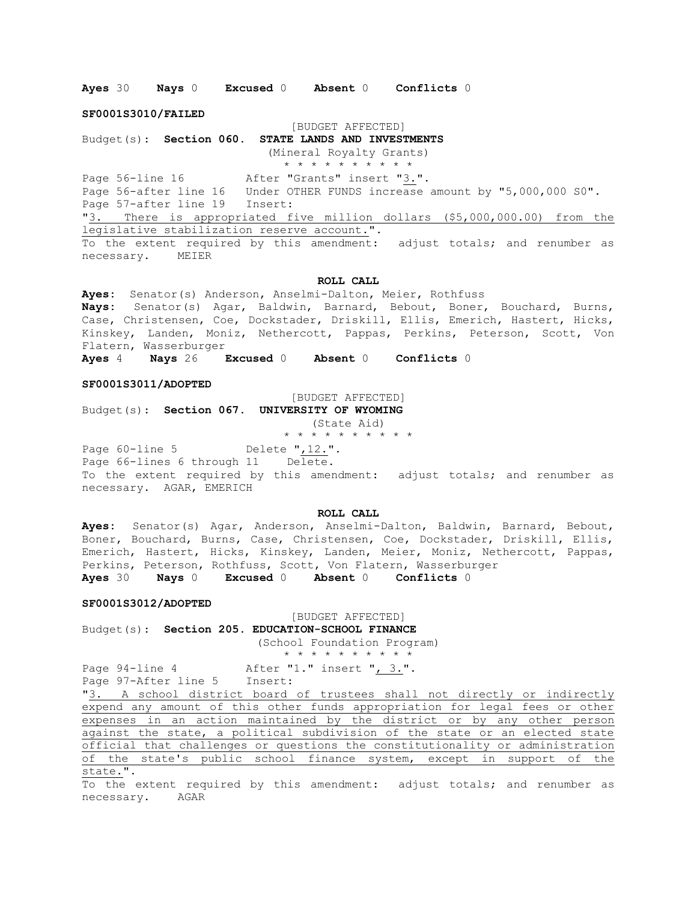**Ayes** 30 **Nays** 0 **Excused** 0 **Absent** 0 **Conflicts** 0

**SF0001S3010/FAILED**

#### [BUDGET AFFECTED]

Budget(s): **Section 060. STATE LANDS AND INVESTMENTS**

(Mineral Royalty Grants)

\* \* \* \* \* \* \* \* \* \* Page 56-line 16 After "Grants" insert "3.".

Page 56-after line 16 Under OTHER FUNDS increase amount by "5,000,000 S0". Page 57-after line 19 Insert:

"3. There is appropriated five million dollars (\$5,000,000.00) from the legislative stabilization reserve account.".

To the extent required by this amendment: adjust totals; and renumber as necessary. MEIER

#### **ROLL CALL**

**Ayes:** Senator(s) Anderson, Anselmi-Dalton, Meier, Rothfuss **Nays:** Senator(s) Agar, Baldwin, Barnard, Bebout, Boner, Bouchard, Burns, Case, Christensen, Coe, Dockstader, Driskill, Ellis, Emerich, Hastert, Hicks, Kinskey, Landen, Moniz, Nethercott, Pappas, Perkins, Peterson, Scott, Von Flatern, Wasserburger

**Ayes** 4 **Nays** 26 **Excused** 0 **Absent** 0 **Conflicts** 0

#### **SF0001S3011/ADOPTED**

[BUDGET AFFECTED]

Budget(s): **Section 067. UNIVERSITY OF WYOMING** (State Aid)

\* \* \* \* \* \* \* \* \* \*

Page 60-line 5 Delete ", 12.". Page 66-lines 6 through 11 Delete. To the extent required by this amendment: adjust totals; and renumber as necessary. AGAR, EMERICH

## **ROLL CALL**

**Ayes:** Senator(s) Agar, Anderson, Anselmi-Dalton, Baldwin, Barnard, Bebout, Boner, Bouchard, Burns, Case, Christensen, Coe, Dockstader, Driskill, Ellis, Emerich, Hastert, Hicks, Kinskey, Landen, Meier, Moniz, Nethercott, Pappas, Perkins, Peterson, Rothfuss, Scott, Von Flatern, Wasserburger **Ayes** 30 **Nays** 0 **Excused** 0 **Absent** 0 **Conflicts** 0

#### **SF0001S3012/ADOPTED**

[BUDGET AFFECTED] Budget(s): **Section 205. EDUCATION-SCHOOL FINANCE** (School Foundation Program)

## \* \* \* \* \* \* \* \* \* \*

Page 94-line 4 After "1." insert ", 3.". Page 97-After line 5 Insert:

"3. A school district board of trustees shall not directly or indirectly expend any amount of this other funds appropriation for legal fees or other expenses in an action maintained by the district or by any other person against the state, a political subdivision of the state or an elected state official that challenges or questions the constitutionality or administration of the state's public school finance system, except in support of the state.".

To the extent required by this amendment: adjust totals; and renumber as necessary. AGAR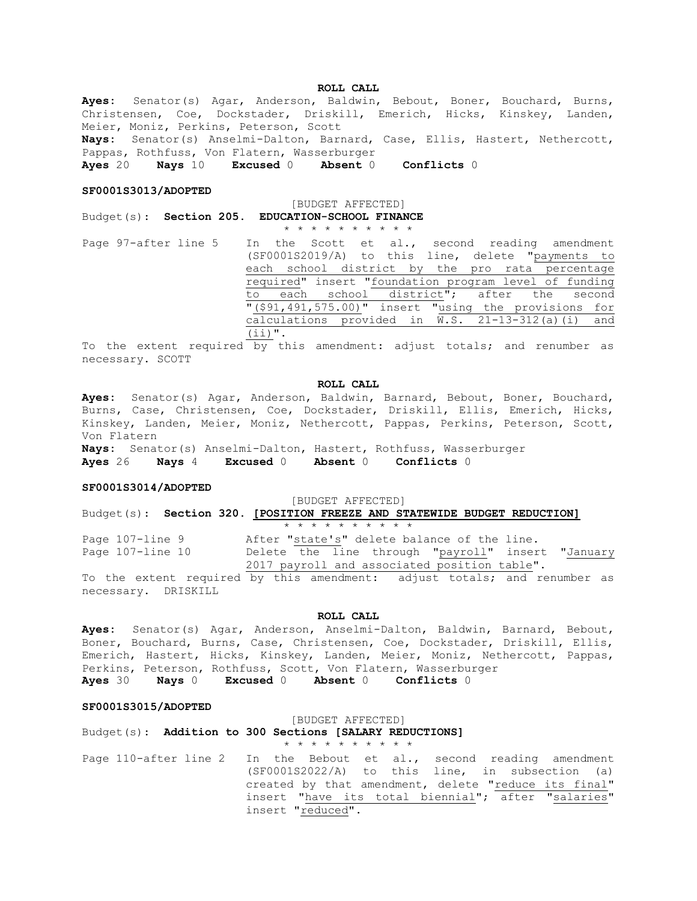**ROLL CALL**

**Ayes:** Senator(s) Agar, Anderson, Baldwin, Bebout, Boner, Bouchard, Burns, Christensen, Coe, Dockstader, Driskill, Emerich, Hicks, Kinskey, Landen, Meier, Moniz, Perkins, Peterson, Scott

**Nays:** Senator(s) Anselmi-Dalton, Barnard, Case, Ellis, Hastert, Nethercott, Pappas, Rothfuss, Von Flatern, Wasserburger

**Ayes** 20 **Nays** 10 **Excused** 0 **Absent** 0 **Conflicts** 0

#### **SF0001S3013/ADOPTED**

[BUDGET AFFECTED]

Budget(s): **Section 205. EDUCATION-SCHOOL FINANCE** \* \* \* \* \* \* \* \* \* \*

Page 97-after line 5 In the Scott et al., second reading amendment (SF0001S2019/A) to this line, delete "payments to each school district by the pro rata percentage required" insert "foundation program level of funding to each school district"; after the second "(\$91,491,575.00)" insert "using the provisions for calculations provided in W.S. 21-13-312(a)(i) and (ii)".

To the extent required by this amendment: adjust totals; and renumber as necessary. SCOTT

#### **ROLL CALL**

**Ayes:** Senator(s) Agar, Anderson, Baldwin, Barnard, Bebout, Boner, Bouchard, Burns, Case, Christensen, Coe, Dockstader, Driskill, Ellis, Emerich, Hicks, Kinskey, Landen, Meier, Moniz, Nethercott, Pappas, Perkins, Peterson, Scott, Von Flatern

**Nays:** Senator(s) Anselmi-Dalton, Hastert, Rothfuss, Wasserburger **Ayes** 26 **Nays** 4 **Excused** 0 **Absent** 0 **Conflicts** 0

## **SF0001S3014/ADOPTED**

[BUDGET AFFECTED]

Budget(s): **Section 320. [POSITION FREEZE AND STATEWIDE BUDGET REDUCTION]** \* \* \* \* \* \* \* \* \* \*

Page 107-line 9 After "state's" delete balance of the line. Page 107-line 10 Delete the line through "payroll" insert "January 2017 payroll and associated position table".

To the extent required by this amendment: adjust totals; and renumber as necessary. DRISKILL

#### **ROLL CALL**

**Ayes:** Senator(s) Agar, Anderson, Anselmi-Dalton, Baldwin, Barnard, Bebout, Boner, Bouchard, Burns, Case, Christensen, Coe, Dockstader, Driskill, Ellis, Emerich, Hastert, Hicks, Kinskey, Landen, Meier, Moniz, Nethercott, Pappas, Perkins, Peterson, Rothfuss, Scott, Von Flatern, Wasserburger

**Ayes** 30 **Nays** 0 **Excused** 0 **Absent** 0 **Conflicts** 0

## **SF0001S3015/ADOPTED**

## [BUDGET AFFECTED]

Budget(s): **Addition to 300 Sections [SALARY REDUCTIONS]**

Page 110-after line 2 In the Bebout et al., second reading amendment (SF0001S2022/A) to this line, in subsection (a) created by that amendment, delete "reduce its final" insert "have its total biennial"; after "salaries" insert "reduced".

\* \* \* \* \* \* \* \* \* \*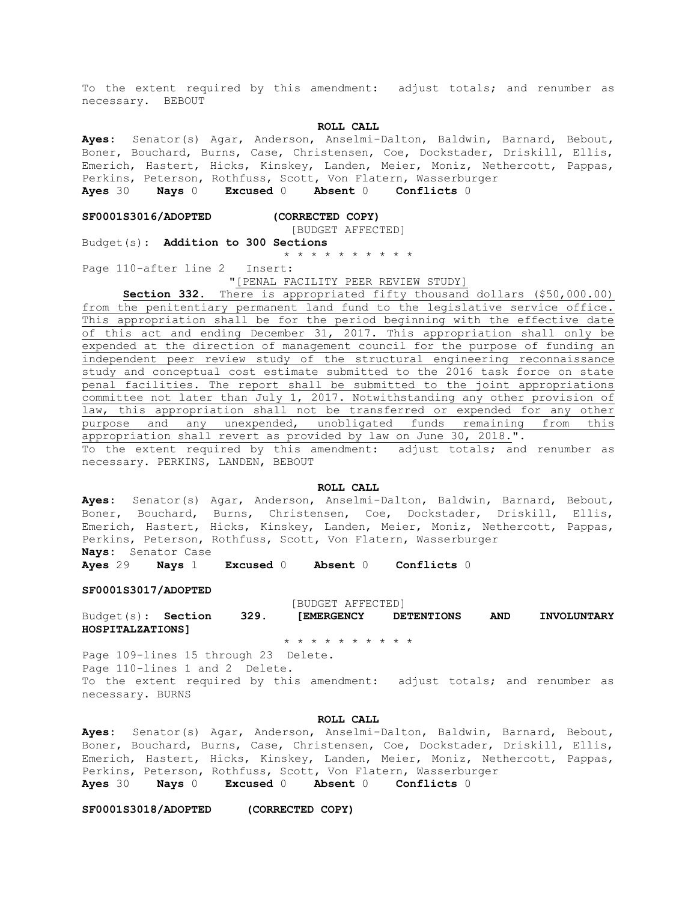To the extent required by this amendment: adjust totals; and renumber as necessary. BEBOUT

#### **ROLL CALL**

**Ayes:** Senator(s) Agar, Anderson, Anselmi-Dalton, Baldwin, Barnard, Bebout, Boner, Bouchard, Burns, Case, Christensen, Coe, Dockstader, Driskill, Ellis, Emerich, Hastert, Hicks, Kinskey, Landen, Meier, Moniz, Nethercott, Pappas, Perkins, Peterson, Rothfuss, Scott, Von Flatern, Wasserburger **Ayes** 30 **Nays** 0 **Excused** 0 **Absent** 0 **Conflicts** 0

## **SF0001S3016/ADOPTED (CORRECTED COPY)**

# [BUDGET AFFECTED]

Budget(s): **Addition to 300 Sections**

\* \* \* \* \* \* \* \* \* \*

Page 110-after line 2 Insert:

"[PENAL FACILITY PEER REVIEW STUDY]

**Section 332.** There is appropriated fifty thousand dollars (\$50,000.00) from the penitentiary permanent land fund to the legislative service office. This appropriation shall be for the period beginning with the effective date of this act and ending December 31, 2017. This appropriation shall only be expended at the direction of management council for the purpose of funding an independent peer review study of the structural engineering reconnaissance study and conceptual cost estimate submitted to the 2016 task force on state penal facilities. The report shall be submitted to the joint appropriations committee not later than July 1, 2017. Notwithstanding any other provision of law, this appropriation shall not be transferred or expended for any other purpose and any unexpended, unobligated funds remaining from this appropriation shall revert as provided by law on June 30, 2018.". To the extent required by this amendment: adjust totals; and renumber as necessary. PERKINS, LANDEN, BEBOUT

#### **ROLL CALL**

**Ayes:** Senator(s) Agar, Anderson, Anselmi-Dalton, Baldwin, Barnard, Bebout, Boner, Bouchard, Burns, Christensen, Coe, Dockstader, Driskill, Ellis, Emerich, Hastert, Hicks, Kinskey, Landen, Meier, Moniz, Nethercott, Pappas, Perkins, Peterson, Rothfuss, Scott, Von Flatern, Wasserburger **Nays:** Senator Case

**Ayes** 29 **Nays** 1 **Excused** 0 **Absent** 0 **Conflicts** 0

#### **SF0001S3017/ADOPTED**

[BUDGET AFFECTED]

Budget(s): **Section 329. [EMERGENCY DETENTIONS AND INVOLUNTARY HOSPITALZATIONS]**

\* \* \* \* \* \* \* \* \* \*

Page 109-lines 15 through 23 Delete. Page 110-lines 1 and 2 Delete. To the extent required by this amendment: adjust totals; and renumber as necessary. BURNS

## **ROLL CALL**

**Ayes:** Senator(s) Agar, Anderson, Anselmi-Dalton, Baldwin, Barnard, Bebout, Boner, Bouchard, Burns, Case, Christensen, Coe, Dockstader, Driskill, Ellis, Emerich, Hastert, Hicks, Kinskey, Landen, Meier, Moniz, Nethercott, Pappas, Perkins, Peterson, Rothfuss, Scott, Von Flatern, Wasserburger **Ayes** 30 **Nays** 0 **Excused** 0 **Absent** 0 **Conflicts** 0

**SF0001S3018/ADOPTED (CORRECTED COPY)**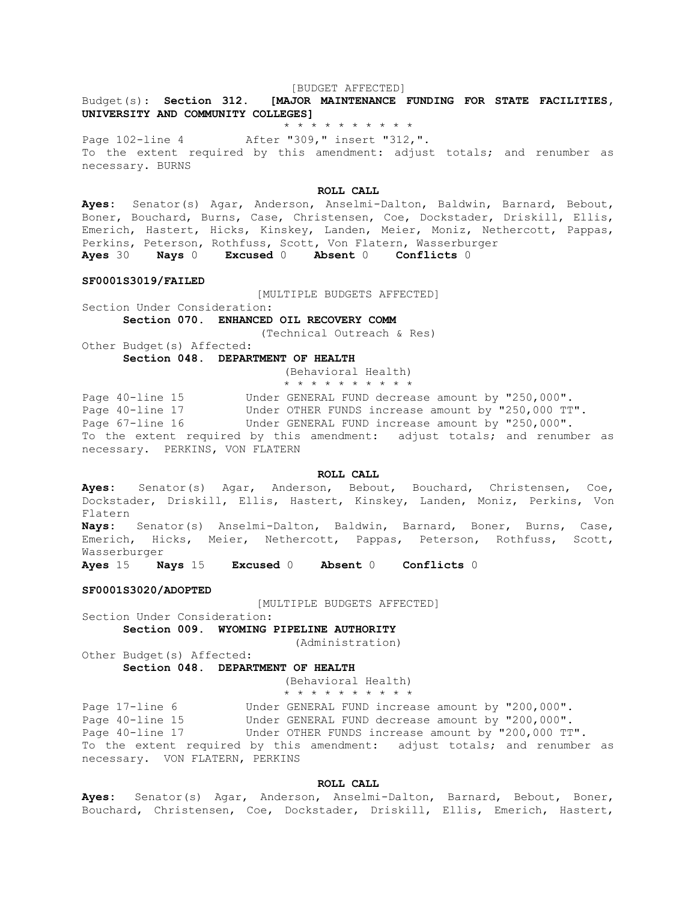#### [BUDGET AFFECTED]

Budget(s): **Section 312. [MAJOR MAINTENANCE FUNDING FOR STATE FACILITIES, UNIVERSITY AND COMMUNITY COLLEGES]**

\* \* \* \* \* \* \* \* \* \*

Page 102-line 4 After "309," insert "312,". To the extent required by this amendment: adjust totals; and renumber as necessary. BURNS

#### **ROLL CALL**

**Ayes:** Senator(s) Agar, Anderson, Anselmi-Dalton, Baldwin, Barnard, Bebout, Boner, Bouchard, Burns, Case, Christensen, Coe, Dockstader, Driskill, Ellis, Emerich, Hastert, Hicks, Kinskey, Landen, Meier, Moniz, Nethercott, Pappas, Perkins, Peterson, Rothfuss, Scott, Von Flatern, Wasserburger **Ayes** 30 **Nays** 0 **Excused** 0 **Absent** 0 **Conflicts** 0

#### **SF0001S3019/FAILED**

[MULTIPLE BUDGETS AFFECTED]

Section Under Consideration:

**Section 070. ENHANCED OIL RECOVERY COMM**

(Technical Outreach & Res)

Other Budget(s) Affected: **Section 048. DEPARTMENT OF HEALTH**

(Behavioral Health)

\* \* \* \* \* \* \* \* \* \*

Page 40-line 15 Under GENERAL FUND decrease amount by "250,000". Page 40-line 17 Under OTHER FUNDS increase amount by "250,000 TT". Page 67-line 16 **Under GENERAL FUND increase amount by "250,000"**. To the extent required by this amendment: adjust totals; and renumber as necessary. PERKINS, VON FLATERN

**ROLL CALL**

**Ayes:** Senator(s) Agar, Anderson, Bebout, Bouchard, Christensen, Coe, Dockstader, Driskill, Ellis, Hastert, Kinskey, Landen, Moniz, Perkins, Von Flatern

**Nays:** Senator(s) Anselmi-Dalton, Baldwin, Barnard, Boner, Burns, Case, Emerich, Hicks, Meier, Nethercott, Pappas, Peterson, Rothfuss, Scott, Wasserburger

**Ayes** 15 **Nays** 15 **Excused** 0 **Absent** 0 **Conflicts** 0

#### **SF0001S3020/ADOPTED**

[MULTIPLE BUDGETS AFFECTED]

Section Under Consideration:

**Section 009. WYOMING PIPELINE AUTHORITY**

(Administration)

Other Budget(s) Affected: **Section 048. DEPARTMENT OF HEALTH**

(Behavioral Health)

\* \* \* \* \* \* \* \* \* \*

Page 17-line 6 Under GENERAL FUND increase amount by "200,000". Page 40-line 15 Under GENERAL FUND decrease amount by "200,000". Page 40-line 17 **Under OTHER FUNDS increase amount by "200,000 TT"**. To the extent required by this amendment: adjust totals; and renumber as necessary. VON FLATERN, PERKINS

#### **ROLL CALL**

**Ayes:** Senator(s) Agar, Anderson, Anselmi-Dalton, Barnard, Bebout, Boner, Bouchard, Christensen, Coe, Dockstader, Driskill, Ellis, Emerich, Hastert,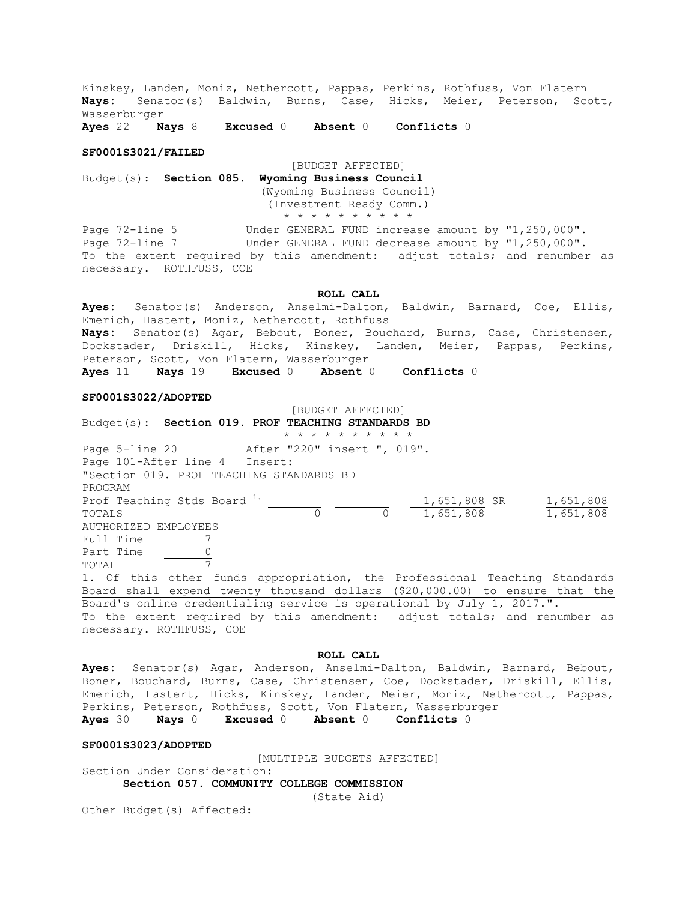Kinskey, Landen, Moniz, Nethercott, Pappas, Perkins, Rothfuss, Von Flatern **Nays:** Senator(s) Baldwin, Burns, Case, Hicks, Meier, Peterson, Scott, Wasserburger

**Ayes** 22 **Nays** 8 **Excused** 0 **Absent** 0 **Conflicts** 0

#### **SF0001S3021/FAILED**

[BUDGET AFFECTED] Budget(s): **Section 085. Wyoming Business Council** (Wyoming Business Council) (Investment Ready Comm.) \* \* \* \* \* \* \* \* \* \*

Page 72-line 5 Under GENERAL FUND increase amount by "1,250,000". Page 72-line 7 The Under GENERAL FUND decrease amount by "1,250,000". To the extent required by this amendment: adjust totals; and renumber as necessary. ROTHFUSS, COE

#### **ROLL CALL**

**Ayes:** Senator(s) Anderson, Anselmi-Dalton, Baldwin, Barnard, Coe, Ellis, Emerich, Hastert, Moniz, Nethercott, Rothfuss **Nays:** Senator(s) Agar, Bebout, Boner, Bouchard, Burns, Case, Christensen, Dockstader, Driskill, Hicks, Kinskey, Landen, Meier, Pappas, Perkins, Peterson, Scott, Von Flatern, Wasserburger **Ayes** 11 **Nays** 19 **Excused** 0 **Absent** 0 **Conflicts** 0

#### **SF0001S3022/ADOPTED**

[BUDGET AFFECTED] Budget(s): **Section 019. PROF TEACHING STANDARDS BD** \* \* \* \* \* \* \* \* \* \* Page 5-line 20 After "220" insert ", 019". Page 101-After line 4 Insert: "Section 019. PROF TEACHING STANDARDS BD PROGRAM Prof Teaching Stds Board  $\frac{1}{2}$  (1,651,808 SR 1,651,808 TOTALS 0 0 1,651,808 1,651,808 AUTHORIZED EMPLOYEES Full Time 7 Part Time 0 TOTAL 7 1. Of this other funds appropriation, the Professional Teaching Standards Board shall expend twenty thousand dollars (\$20,000.00) to ensure that the Board's online credentialing service is operational by July 1, 2017.". To the extent required by this amendment: adjust totals; and renumber as necessary. ROTHFUSS, COE

#### **ROLL CALL**

**Ayes:** Senator(s) Agar, Anderson, Anselmi-Dalton, Baldwin, Barnard, Bebout, Boner, Bouchard, Burns, Case, Christensen, Coe, Dockstader, Driskill, Ellis, Emerich, Hastert, Hicks, Kinskey, Landen, Meier, Moniz, Nethercott, Pappas, Perkins, Peterson, Rothfuss, Scott, Von Flatern, Wasserburger **Ayes** 30 **Nays** 0 **Excused** 0 **Absent** 0 **Conflicts** 0

#### **SF0001S3023/ADOPTED**

[MULTIPLE BUDGETS AFFECTED]

Section Under Consideration:

**Section 057. COMMUNITY COLLEGE COMMISSION** (State Aid)

Other Budget(s) Affected: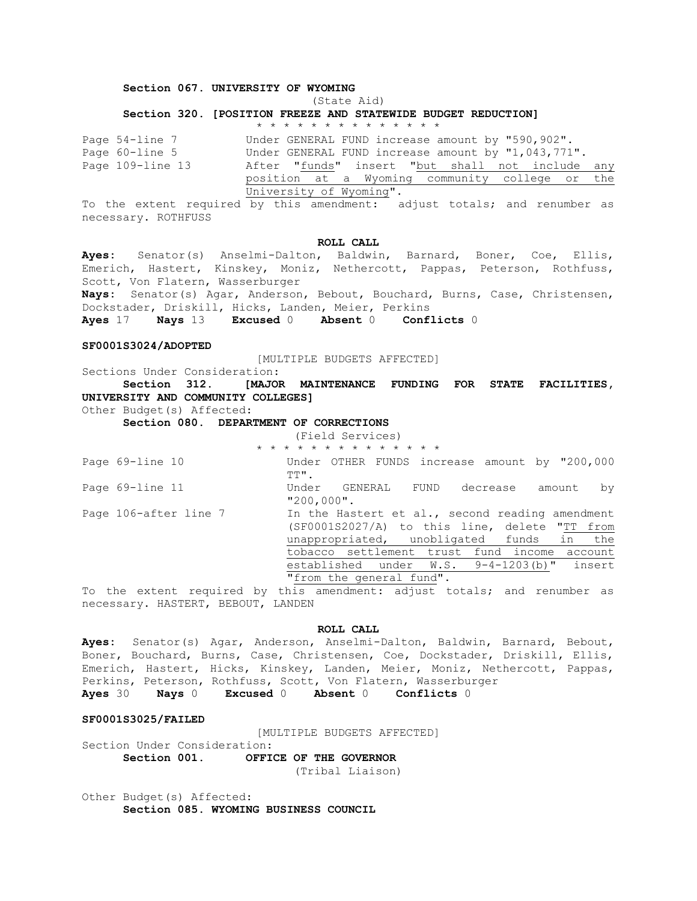## **Section 067. UNIVERSITY OF WYOMING**

## (State Aid) **Section 320. [POSITION FREEZE AND STATEWIDE BUDGET REDUCTION]**

|                  | * * * * * * * * * * * * * *                                                 |
|------------------|-----------------------------------------------------------------------------|
| Page 54-line 7   | Under GENERAL FUND increase amount by "590,902".                            |
| Page 60-line 5   | Under GENERAL FUND increase amount by "1,043,771".                          |
| Page 109-line 13 | After "funds" insert "but shall not include any                             |
|                  | position at a Wyoming community college or the                              |
|                  | University of Wyoming".                                                     |
|                  | To the extent required by this amendment, adjust totals, and requirement as |

To the extent required by this amendment: adjust totals; and renumber as necessary. ROTHFUSS

#### **ROLL CALL**

**Ayes:** Senator(s) Anselmi-Dalton, Baldwin, Barnard, Boner, Coe, Ellis, Emerich, Hastert, Kinskey, Moniz, Nethercott, Pappas, Peterson, Rothfuss, Scott, Von Flatern, Wasserburger **Nays:** Senator(s) Agar, Anderson, Bebout, Bouchard, Burns, Case, Christensen, Dockstader, Driskill, Hicks, Landen, Meier, Perkins

**Ayes** 17 **Nays** 13 **Excused** 0 **Absent** 0 **Conflicts** 0

#### **SF0001S3024/ADOPTED**

[MULTIPLE BUDGETS AFFECTED]

Sections Under Consideration: **Section 312. [MAJOR MAINTENANCE FUNDING FOR STATE FACILITIES, UNIVERSITY AND COMMUNITY COLLEGES]**

Other Budget(s) Affected:

**Section 080. DEPARTMENT OF CORRECTIONS**

|  |  |  | (Field Services) |  |  |                             |  |  |
|--|--|--|------------------|--|--|-----------------------------|--|--|
|  |  |  |                  |  |  | * * * * * * * * * * * * * * |  |  |

Page 69-line 10 Under OTHER FUNDS increase amount by "200,000 TT". Page 69-line 11 Under GENERAL FUND decrease amount by  $"200,000"$ . Page 106-after line 7 In the Hastert et al., second reading amendment (SF0001S2027/A) to this line, delete "TT from unappropriated, unobligated funds in the tobacco settlement trust fund income account

"from the general fund". To the extent required by this amendment: adjust totals; and renumber as necessary. HASTERT, BEBOUT, LANDEN

established under W.S. 9-4-1203(b)" insert

## **ROLL CALL**

**Ayes:** Senator(s) Agar, Anderson, Anselmi-Dalton, Baldwin, Barnard, Bebout, Boner, Bouchard, Burns, Case, Christensen, Coe, Dockstader, Driskill, Ellis, Emerich, Hastert, Hicks, Kinskey, Landen, Meier, Moniz, Nethercott, Pappas, Perkins, Peterson, Rothfuss, Scott, Von Flatern, Wasserburger **Ayes** 30 **Nays** 0 **Excused** 0 **Absent** 0 **Conflicts** 0

**SF0001S3025/FAILED**

[MULTIPLE BUDGETS AFFECTED]

Section Under Consideration: **Section 001. OFFICE OF THE GOVERNOR**

(Tribal Liaison)

Other Budget(s) Affected: **Section 085. WYOMING BUSINESS COUNCIL**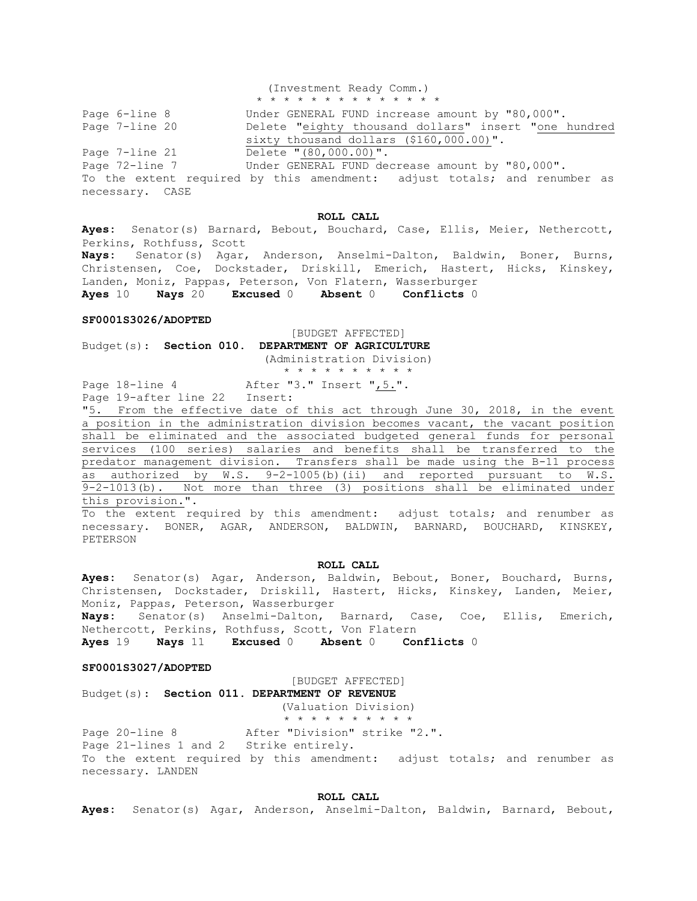(Investment Ready Comm.)

\* \* \* \* \* \* \* \* \* \* \* \* \* \* Page 6-line 8 Under GENERAL FUND increase amount by "80,000". Page 7-line 20 Delete "eighty thousand dollars" insert "one hundred sixty thousand dollars (\$160,000.00)". Page 7-line 21 Delete "(80,000.00)". Page 72-line 7 Under GENERAL FUND decrease amount by "80,000". To the extent required by this amendment: adjust totals; and renumber as necessary. CASE

## **ROLL CALL**

**Ayes:** Senator(s) Barnard, Bebout, Bouchard, Case, Ellis, Meier, Nethercott, Perkins, Rothfuss, Scott **Nays:** Senator(s) Agar, Anderson, Anselmi-Dalton, Baldwin, Boner, Burns, Christensen, Coe, Dockstader, Driskill, Emerich, Hastert, Hicks, Kinskey, Landen, Moniz, Pappas, Peterson, Von Flatern, Wasserburger **Ayes** 10 **Nays** 20 **Excused** 0 **Absent** 0 **Conflicts** 0

## **SF0001S3026/ADOPTED**

[BUDGET AFFECTED] Budget(s): **Section 010. DEPARTMENT OF AGRICULTURE**

(Administration Division)

\* \* \* \* \* \* \* \* \* \*

Page 18-line 4 After "3." Insert ", 5.".

Page 19-after line 22 Insert:

"5. From the effective date of this act through June 30, 2018, in the event a position in the administration division becomes vacant, the vacant position shall be eliminated and the associated budgeted general funds for personal services (100 series) salaries and benefits shall be transferred to the predator management division. Transfers shall be made using the B-11 process as authorized by W.S. 9-2-1005(b)(ii) and reported pursuant to W.S. 9-2-1013(b). Not more than three (3) positions shall be eliminated under this provision.".

To the extent required by this amendment: adjust totals; and renumber as necessary. BONER, AGAR, ANDERSON, BALDWIN, BARNARD, BOUCHARD, KINSKEY, PETERSON

#### **ROLL CALL**

**Ayes:** Senator(s) Agar, Anderson, Baldwin, Bebout, Boner, Bouchard, Burns, Christensen, Dockstader, Driskill, Hastert, Hicks, Kinskey, Landen, Meier, Moniz, Pappas, Peterson, Wasserburger **Nays:** Senator(s) Anselmi-Dalton, Barnard, Case, Coe, Ellis, Emerich, Nethercott, Perkins, Rothfuss, Scott, Von Flatern

**Ayes** 19 **Nays** 11 **Excused** 0 **Absent** 0 **Conflicts** 0

#### **SF0001S3027/ADOPTED**

[BUDGET AFFECTED]

Budget(s): **Section 011. DEPARTMENT OF REVENUE**

(Valuation Division)

\* \* \* \* \* \* \* \* \* \* Page 20-line 8 After "Division" strike "2.".

Page 21-lines 1 and 2 Strike entirely. To the extent required by this amendment: adjust totals; and renumber as necessary. LANDEN

#### **ROLL CALL**

**Ayes:** Senator(s) Agar, Anderson, Anselmi-Dalton, Baldwin, Barnard, Bebout,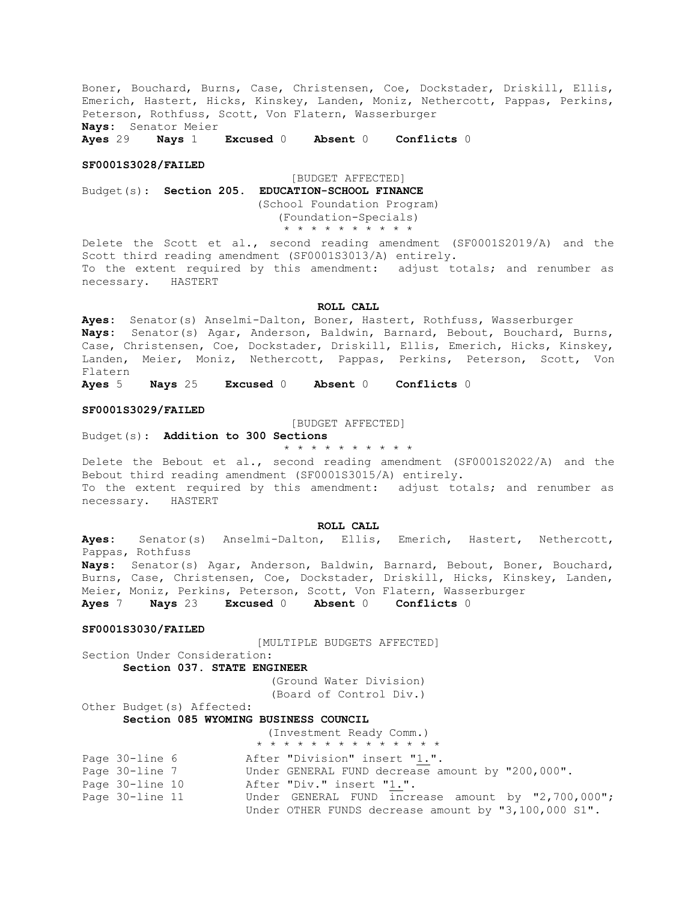Boner, Bouchard, Burns, Case, Christensen, Coe, Dockstader, Driskill, Ellis, Emerich, Hastert, Hicks, Kinskey, Landen, Moniz, Nethercott, Pappas, Perkins, Peterson, Rothfuss, Scott, Von Flatern, Wasserburger **Nays:** Senator Meier

**Ayes** 29 **Nays** 1 **Excused** 0 **Absent** 0 **Conflicts** 0

#### **SF0001S3028/FAILED**

[BUDGET AFFECTED] Budget(s): **Section 205. EDUCATION-SCHOOL FINANCE** (School Foundation Program) (Foundation-Specials) \* \* \* \* \* \* \* \* \* \*

Delete the Scott et al., second reading amendment (SF0001S2019/A) and the Scott third reading amendment (SF0001S3013/A) entirely. To the extent required by this amendment: adjust totals; and renumber as necessary. HASTERT

**ROLL CALL**

**Ayes:** Senator(s) Anselmi-Dalton, Boner, Hastert, Rothfuss, Wasserburger **Nays:** Senator(s) Agar, Anderson, Baldwin, Barnard, Bebout, Bouchard, Burns, Case, Christensen, Coe, Dockstader, Driskill, Ellis, Emerich, Hicks, Kinskey, Landen, Meier, Moniz, Nethercott, Pappas, Perkins, Peterson, Scott, Von Flatern

**Ayes** 5 **Nays** 25 **Excused** 0 **Absent** 0 **Conflicts** 0

## **SF0001S3029/FAILED**

[BUDGET AFFECTED]

Budget(s): **Addition to 300 Sections**

\* \* \* \* \* \* \* \* \* \*

Delete the Bebout et al., second reading amendment (SF0001S2022/A) and the Bebout third reading amendment (SF0001S3015/A) entirely. To the extent required by this amendment: adjust totals; and renumber as necessary. HASTERT

**ROLL CALL**

**Ayes:** Senator(s) Anselmi-Dalton, Ellis, Emerich, Hastert, Nethercott, Pappas, Rothfuss

**Nays:** Senator(s) Agar, Anderson, Baldwin, Barnard, Bebout, Boner, Bouchard, Burns, Case, Christensen, Coe, Dockstader, Driskill, Hicks, Kinskey, Landen, Meier, Moniz, Perkins, Peterson, Scott, Von Flatern, Wasserburger **Ayes** 7 **Nays** 23 **Excused** 0 **Absent** 0 **Conflicts** 0

#### **SF0001S3030/FAILED**

[MULTIPLE BUDGETS AFFECTED]

**Section 037. STATE ENGINEER**

(Ground Water Division) (Board of Control Div.)

Other Budget(s) Affected:

Section Under Consideration:

## **Section 085 WYOMING BUSINESS COUNCIL**

|                 | (Investment Ready Comm.)                             |
|-----------------|------------------------------------------------------|
|                 | * * * * * * * * * * * * * *                          |
| Page 30-line 6  | After "Division" insert "1.".                        |
| Page 30-line 7  | Under GENERAL FUND decrease amount by "200,000".     |
| Page 30-line 10 | After "Div." insert "1.".                            |
| Page 30-line 11 | Under GENERAL FUND increase amount by "2,700,000";   |
|                 | Under OTHER FUNDS decrease amount by "3,100,000 S1". |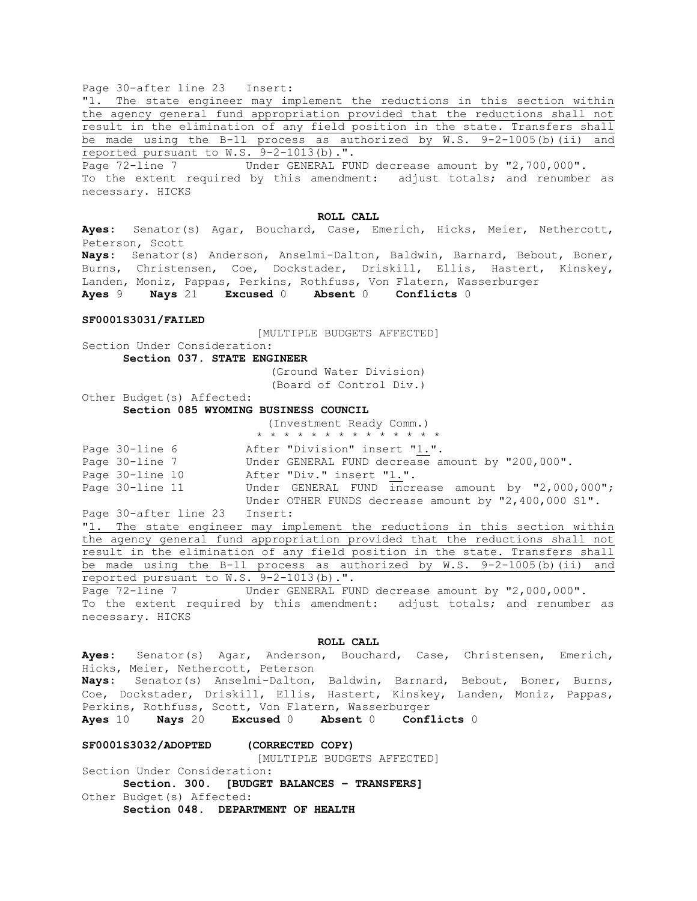Page 30-after line 23 Insert:

"1. The state engineer may implement the reductions in this section within the agency general fund appropriation provided that the reductions shall not result in the elimination of any field position in the state. Transfers shall be made using the B-11 process as authorized by  $W.S. 9-2-1005(b)$  (ii) and reported pursuant to W.S. 9-2-1013(b).".

Page 72-line 7 Under GENERAL FUND decrease amount by "2,700,000". To the extent required by this amendment: adjust totals; and renumber as necessary. HICKS

#### **ROLL CALL**

**Ayes:** Senator(s) Agar, Bouchard, Case, Emerich, Hicks, Meier, Nethercott, Peterson, Scott **Nays:** Senator(s) Anderson, Anselmi-Dalton, Baldwin, Barnard, Bebout, Boner, Burns, Christensen, Coe, Dockstader, Driskill, Ellis, Hastert, Kinskey, Landen, Moniz, Pappas, Perkins, Rothfuss, Von Flatern, Wasserburger **Ayes** 9 **Nays** 21 **Excused** 0 **Absent** 0 **Conflicts** 0

#### **SF0001S3031/FAILED**

[MULTIPLE BUDGETS AFFECTED]

Section Under Consideration: **Section 037. STATE ENGINEER**

> (Ground Water Division) (Board of Control Div.)

Other Budget(s) Affected: **Section 085 WYOMING BUSINESS COUNCIL**

|                |  |  |  |  |  |  | (Investment Ready Comm.)      |  |  |
|----------------|--|--|--|--|--|--|-------------------------------|--|--|
|                |  |  |  |  |  |  | * * * * * * * * * * * * * *   |  |  |
| Page 30-line 6 |  |  |  |  |  |  | After "Division" insert "1.". |  |  |

| $=$ $\infty$ $\infty$ $=$ $\infty$ $\infty$ |  |                                                      |
|---------------------------------------------|--|------------------------------------------------------|
| Page 30-line 7                              |  | Under GENERAL FUND decrease amount by "200,000".     |
| Page 30-line 10                             |  | After "Div." insert "1.".                            |
| Page 30-line 11                             |  | Under GENERAL FUND increase amount by "2,000,000";   |
|                                             |  | Under OTHER FUNDS decrease amount by "2,400,000 S1". |

Page 30-after line 23 Insert:

"1. The state engineer may implement the reductions in this section within the agency general fund appropriation provided that the reductions shall not result in the elimination of any field position in the state. Transfers shall be made using the B-11 process as authorized by W.S. 9-2-1005(b)(ii) and reported pursuant to W.S. 9-2-1013(b).".

Page 72-line 7 Under GENERAL FUND decrease amount by "2,000,000". To the extent required by this amendment: adjust totals; and renumber as necessary. HICKS

#### **ROLL CALL**

**Ayes:** Senator(s) Agar, Anderson, Bouchard, Case, Christensen, Emerich, Hicks, Meier, Nethercott, Peterson **Nays:** Senator(s) Anselmi-Dalton, Baldwin, Barnard, Bebout, Boner, Burns, Coe, Dockstader, Driskill, Ellis, Hastert, Kinskey, Landen, Moniz, Pappas, Perkins, Rothfuss, Scott, Von Flatern, Wasserburger **Ayes** 10 **Nays** 20 **Excused** 0 **Absent** 0 **Conflicts** 0

## **SF0001S3032/ADOPTED (CORRECTED COPY)**

[MULTIPLE BUDGETS AFFECTED]

Section Under Consideration: **Section. 300. [BUDGET BALANCES – TRANSFERS]** Other Budget(s) Affected: **Section 048. DEPARTMENT OF HEALTH**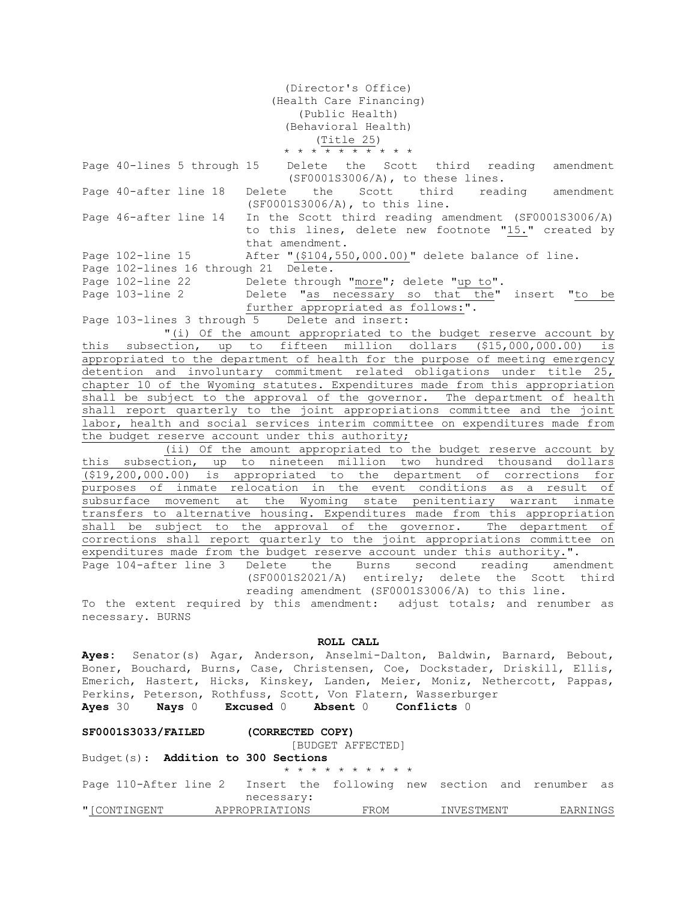(Director's Office) (Health Care Financing) (Public Health) (Behavioral Health) (Title 25) \* \* \* \* \* \* \* \* \* \*

Page 40-lines 5 through 15 Delete the Scott third reading amendment (SF0001S3006/A), to these lines. Page 40-after line 18 Delete the Scott third reading amendment (SF0001S3006/A), to this line. Page 46-after line 14 In the Scott third reading amendment (SF0001S3006/A) to this lines, delete new footnote "15." created by that amendment. Page 102-line 15 After "(\$104,550,000.00)" delete balance of line. Page 102-lines 16 through 21 Delete. Page 102-line 22 Delete through "more"; delete "up to". Page 103-line 2 Delete "as necessary so that the" insert "to be further appropriated as follows:". Page 103-lines 3 through 5 Delete and insert: "(i) Of the amount appropriated to the budget reserve account by this subsection, up to fifteen million dollars (\$15,000,000.00) is appropriated to the department of health for the purpose of meeting emergency detention and involuntary commitment related obligations under title 25, chapter 10 of the Wyoming statutes. Expenditures made from this appropriation shall be subject to the approval of the governor. The department of health shall report quarterly to the joint appropriations committee and the joint labor, health and social services interim committee on expenditures made from the budget reserve account under this authority; (ii) Of the amount appropriated to the budget reserve account by this subsection, up to nineteen million two hundred thousand dollars (\$19,200,000.00) is appropriated to the department of corrections for purposes of inmate relocation in the event conditions as a result of subsurface movement at the Wyoming state penitentiary warrant inmate transfers to alternative housing. Expenditures made from this appropriation shall be subject to the approval of the governor. The department of corrections shall report quarterly to the joint appropriations committee on expenditures made from the budget reserve account under this authority.". Page 104-after line 3 Delete the Burns second reading amendment (SF0001S2021/A) entirely; delete the Scott third reading amendment (SF0001S3006/A) to this line. To the extent required by this amendment: adjust totals; and renumber as

necessary. BURNS

## **ROLL CALL**

**Ayes:** Senator(s) Agar, Anderson, Anselmi-Dalton, Baldwin, Barnard, Bebout, Boner, Bouchard, Burns, Case, Christensen, Coe, Dockstader, Driskill, Ellis, Emerich, Hastert, Hicks, Kinskey, Landen, Meier, Moniz, Nethercott, Pappas, Perkins, Peterson, Rothfuss, Scott, Von Flatern, Wasserburger **Ayes** 30 **Nays** 0 **Excused** 0 **Absent** 0 **Conflicts** 0

| SF0001S3033/FAILED                  | (CORRECTED COPY)<br>[BUDGET AFFECTED]                                                |            |          |  |
|-------------------------------------|--------------------------------------------------------------------------------------|------------|----------|--|
| Budget(s): Addition to 300 Sections | * * * * * * * * * *                                                                  |            |          |  |
|                                     | Page 110-After line 2 Insert the following new section and renumber as<br>necessary: |            |          |  |
| "[CONTINGENT APPROPRIATIONS         | FROM                                                                                 | INVESTMENT | EARNINGS |  |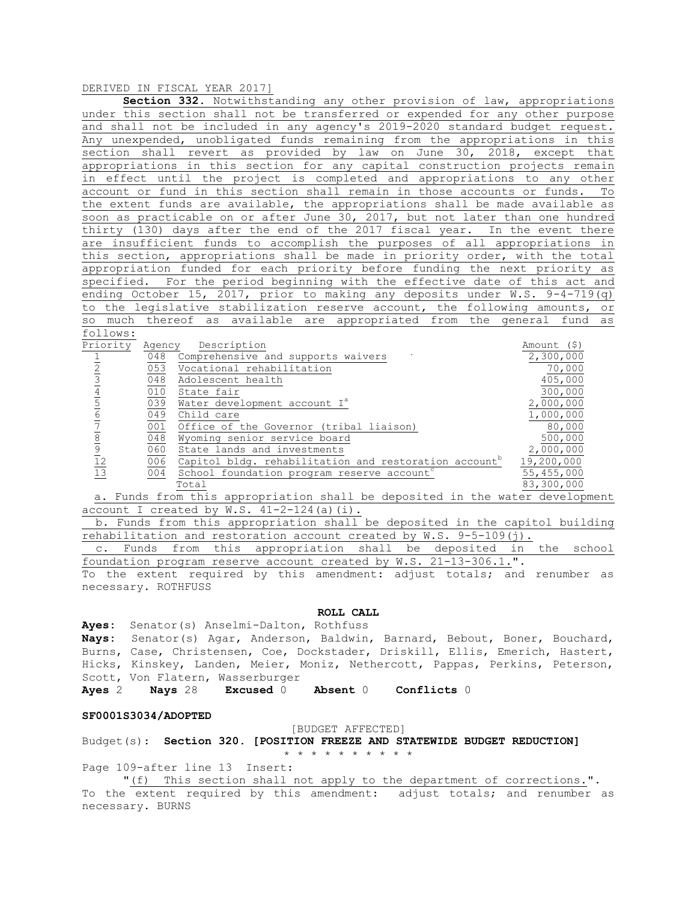## DERIVED IN FISCAL YEAR 2017]

| Section 332. Notwithstanding any other provision of law, appropriations       |
|-------------------------------------------------------------------------------|
| under this section shall not be transferred or expended for any other purpose |
| and shall not be included in any agency's 2019-2020 standard budget request.  |
| Any unexpended, unobligated funds remaining from the appropriations in this   |
| section shall revert as provided by law on June 30, 2018, except that         |
| appropriations in this section for any capital construction projects remain   |
| in effect until the project is completed and appropriations to any other      |
| account or fund in this section shall remain in those accounts or funds. To   |
| the extent funds are available, the appropriations shall be made available as |
| soon as practicable on or after June 30, 2017, but not later than one hundred |
| thirty (130) days after the end of the 2017 fiscal year. In the event there   |
| are insufficient funds to accomplish the purposes of all appropriations in    |
| this section, appropriations shall be made in priority order, with the total  |
| appropriation funded for each priority before funding the next priority as    |
| specified. For the period beginning with the effective date of this act and   |
| ending October 15, 2017, prior to making any deposits under W.S. $9-4-719(q)$ |
| to the legislative stabilization reserve account, the following amounts, or   |
| so much thereof as available are appropriated from the general fund as        |
| follows:                                                                      |

| Priority                       | Agency | Description                                                       | Amount (\$) |
|--------------------------------|--------|-------------------------------------------------------------------|-------------|
|                                | 048    | Comprehensive and supports waivers                                | 2,300,000   |
|                                | 053    | Vocational rehabilitation                                         | 70,000      |
|                                | 048    | Adolescent health                                                 | 405,000     |
|                                | 010    | State fair                                                        | 300,000     |
|                                | 039    | Water development account I <sup>a</sup>                          | 2,000,000   |
| 6                              | 049    | Child care                                                        | 1,000,000   |
|                                | 001    | Office of the Governor (tribal liaison)                           | 80,000      |
| 8                              | 048    | Wyoming senior service board                                      | 500,000     |
|                                | 060    | State lands and investments                                       | 2,000,000   |
| $\frac{9}{12}$ $\frac{12}{13}$ | 006    | Capitol bldg. rehabilitation and restoration account <sup>b</sup> | 19,200,000  |
|                                | 004    | School foundation program reserve account                         | 55,455,000  |
|                                |        | Total                                                             | 83,300,000  |

 a. Funds from this appropriation shall be deposited in the water development account I created by  $W.S. 41-2-124(a)(i)$ .

 b. Funds from this appropriation shall be deposited in the capitol building rehabilitation and restoration account created by W.S. 9-5-109(j).

 c. Funds from this appropriation shall be deposited in the school foundation program reserve account created by W.S. 21-13-306.1.".

To the extent required by this amendment: adjust totals; and renumber as necessary. ROTHFUSS

## **ROLL CALL**

**Ayes:** Senator(s) Anselmi-Dalton, Rothfuss **Nays:** Senator(s) Agar, Anderson, Baldwin, Barnard, Bebout, Boner, Bouchard, Burns, Case, Christensen, Coe, Dockstader, Driskill, Ellis, Emerich, Hastert, Hicks, Kinskey, Landen, Meier, Moniz, Nethercott, Pappas, Perkins, Peterson, Scott, Von Flatern, Wasserburger

**Ayes** 2 **Nays** 28 **Excused** 0 **Absent** 0 **Conflicts** 0

#### **SF0001S3034/ADOPTED**

#### [BUDGET AFFECTED]

#### Budget(s): **Section 320. [POSITION FREEZE AND STATEWIDE BUDGET REDUCTION]** \* \* \* \* \* \* \* \* \* \*

Page 109-after line 13 Insert:

"(f) This section shall not apply to the department of corrections.". To the extent required by this amendment: adjust totals; and renumber as necessary. BURNS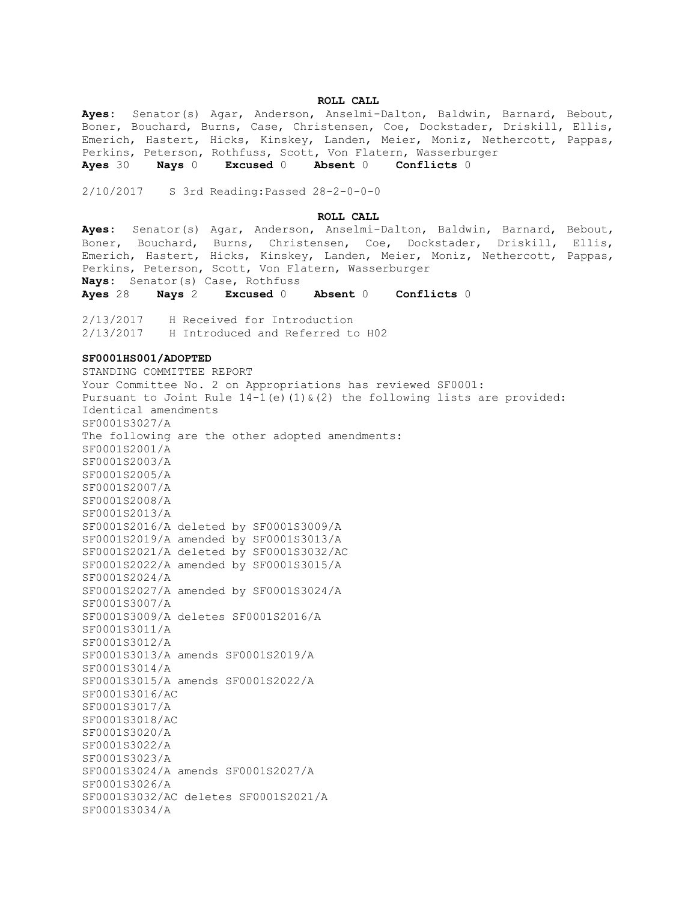## **ROLL CALL**

**Ayes:** Senator(s) Agar, Anderson, Anselmi-Dalton, Baldwin, Barnard, Bebout, Boner, Bouchard, Burns, Case, Christensen, Coe, Dockstader, Driskill, Ellis, Emerich, Hastert, Hicks, Kinskey, Landen, Meier, Moniz, Nethercott, Pappas, Perkins, Peterson, Rothfuss, Scott, Von Flatern, Wasserburger **Ayes** 30 **Nays** 0 **Excused** 0 **Absent** 0 **Conflicts** 0

2/10/2017 S 3rd Reading:Passed 28-2-0-0-0

#### **ROLL CALL**

**Ayes:** Senator(s) Agar, Anderson, Anselmi-Dalton, Baldwin, Barnard, Bebout, Boner, Bouchard, Burns, Christensen, Coe, Dockstader, Driskill, Ellis, Emerich, Hastert, Hicks, Kinskey, Landen, Meier, Moniz, Nethercott, Pappas, Perkins, Peterson, Scott, Von Flatern, Wasserburger **Nays:** Senator(s) Case, Rothfuss

**Ayes** 28 **Nays** 2 **Excused** 0 **Absent** 0 **Conflicts** 0

2/13/2017 H Received for Introduction 2/13/2017 H Introduced and Referred to H02

## **SF0001HS001/ADOPTED**

STANDING COMMITTEE REPORT Your Committee No. 2 on Appropriations has reviewed SF0001: Pursuant to Joint Rule  $14-1$  (e)  $(1)$  &  $(2)$  the following lists are provided: Identical amendments SF0001S3027/A The following are the other adopted amendments: SF0001S2001/A SF0001S2003/A SF0001S2005/A SF0001S2007/A SF0001S2008/A SF0001S2013/A SF0001S2016/A deleted by SF0001S3009/A SF0001S2019/A amended by SF0001S3013/A SF0001S2021/A deleted by SF0001S3032/AC SF0001S2022/A amended by SF0001S3015/A SF0001S2024/A SF0001S2027/A amended by SF0001S3024/A SF0001S3007/A SF0001S3009/A deletes SF0001S2016/A SF0001S3011/A SF0001S3012/A SF0001S3013/A amends SF0001S2019/A SF0001S3014/A SF0001S3015/A amends SF0001S2022/A SF0001S3016/AC SF0001S3017/A SF0001S3018/AC SF0001S3020/A SF0001S3022/A SF0001S3023/A SF0001S3024/A amends SF0001S2027/A SF0001S3026/A SF0001S3032/AC deletes SF0001S2021/A SF0001S3034/A